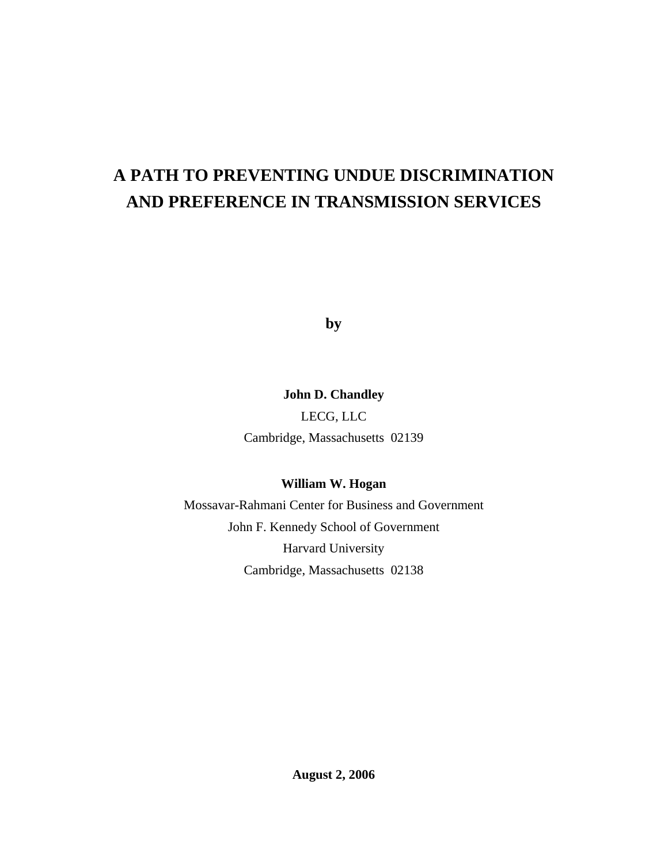# **A PATH TO PREVENTING UNDUE DISCRIMINATION AND PREFERENCE IN TRANSMISSION SERVICES**

**by** 

## **John D. Chandley**

LECG, LLC Cambridge, Massachusetts 02139

## **William W. Hogan**

Mossavar-Rahmani Center for Business and Government John F. Kennedy School of Government Harvard University Cambridge, Massachusetts 02138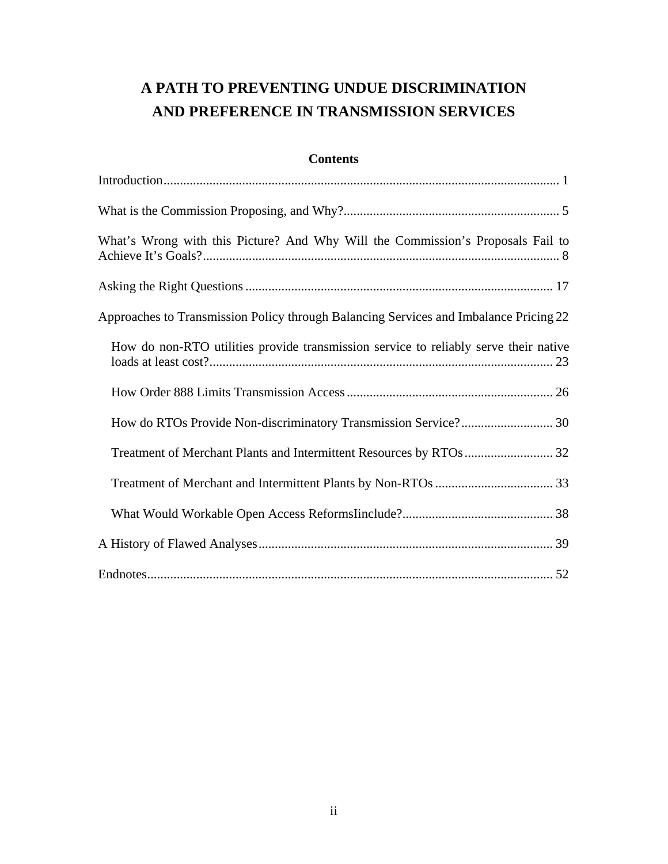## **A PATH TO PREVENTING UNDUE DISCRIMINATION AND PREFERENCE IN TRANSMISSION SERVICES**

## **Contents**

| What's Wrong with this Picture? And Why Will the Commission's Proposals Fail to       |
|---------------------------------------------------------------------------------------|
|                                                                                       |
| Approaches to Transmission Policy through Balancing Services and Imbalance Pricing 22 |
| How do non-RTO utilities provide transmission service to reliably serve their native  |
|                                                                                       |
| How do RTOs Provide Non-discriminatory Transmission Service? 30                       |
|                                                                                       |
|                                                                                       |
|                                                                                       |
|                                                                                       |
|                                                                                       |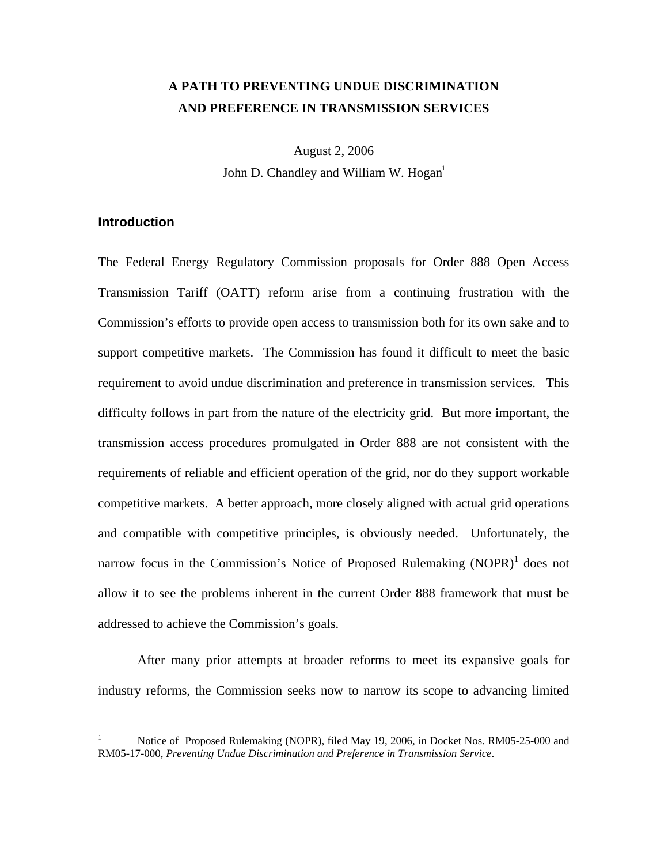## **A PATH TO PREVENTING UNDUE DISCRIMINATION AND PREFERENCE IN TRANSMISSION SERVICES**

August 2, 2006 John D. Chandley and William W. Hogan<sup>1</sup>

## **Introduction**

 $\overline{a}$ 

The Federal Energy Regulatory Commission proposals for Order 888 Open Access Transmission Tariff (OATT) reform arise from a continuing frustration with the Commission's efforts to provide open access to transmission both for its own sake and to support competitive markets. The Commission has found it difficult to meet the basic requirement to avoid undue discrimination and preference in transmission services. This difficulty follows in part from the nature of the electricity grid. But more important, the transmission access procedures promulgated in Order 888 are not consistent with the requirements of reliable and efficient operation of the grid, nor do they support workable competitive markets. A better approach, more closely aligned with actual grid operations and compatible with competitive principles, is obviously needed. Unfortunately, the narrow focus in the Commission's Notice of Proposed Rulemaking  $(NOPR)^1$  does not allow it to see the problems inherent in the current Order 888 framework that must be addressed to achieve the Commission's goals.

After many prior attempts at broader reforms to meet its expansive goals for industry reforms, the Commission seeks now to narrow its scope to advancing limited

<sup>1</sup> Notice of Proposed Rulemaking (NOPR), filed May 19, 2006, in Docket Nos. RM05-25-000 and RM05-17-000, *Preventing Undue Discrimination and Preference in Transmission Service*.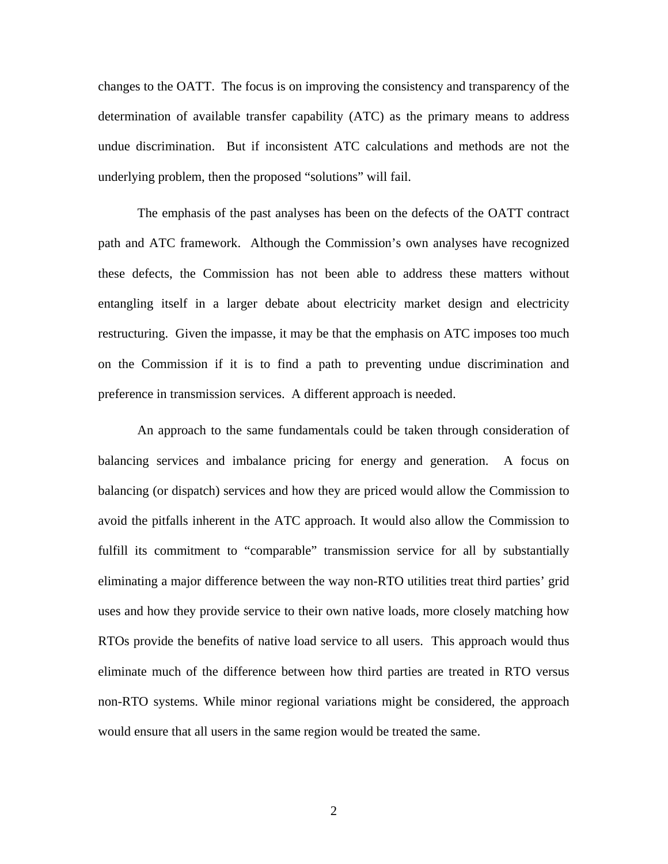changes to the OATT. The focus is on improving the consistency and transparency of the determination of available transfer capability (ATC) as the primary means to address undue discrimination. But if inconsistent ATC calculations and methods are not the underlying problem, then the proposed "solutions" will fail.

The emphasis of the past analyses has been on the defects of the OATT contract path and ATC framework. Although the Commission's own analyses have recognized these defects, the Commission has not been able to address these matters without entangling itself in a larger debate about electricity market design and electricity restructuring. Given the impasse, it may be that the emphasis on ATC imposes too much on the Commission if it is to find a path to preventing undue discrimination and preference in transmission services. A different approach is needed.

An approach to the same fundamentals could be taken through consideration of balancing services and imbalance pricing for energy and generation. A focus on balancing (or dispatch) services and how they are priced would allow the Commission to avoid the pitfalls inherent in the ATC approach. It would also allow the Commission to fulfill its commitment to "comparable" transmission service for all by substantially eliminating a major difference between the way non-RTO utilities treat third parties' grid uses and how they provide service to their own native loads, more closely matching how RTOs provide the benefits of native load service to all users. This approach would thus eliminate much of the difference between how third parties are treated in RTO versus non-RTO systems. While minor regional variations might be considered, the approach would ensure that all users in the same region would be treated the same.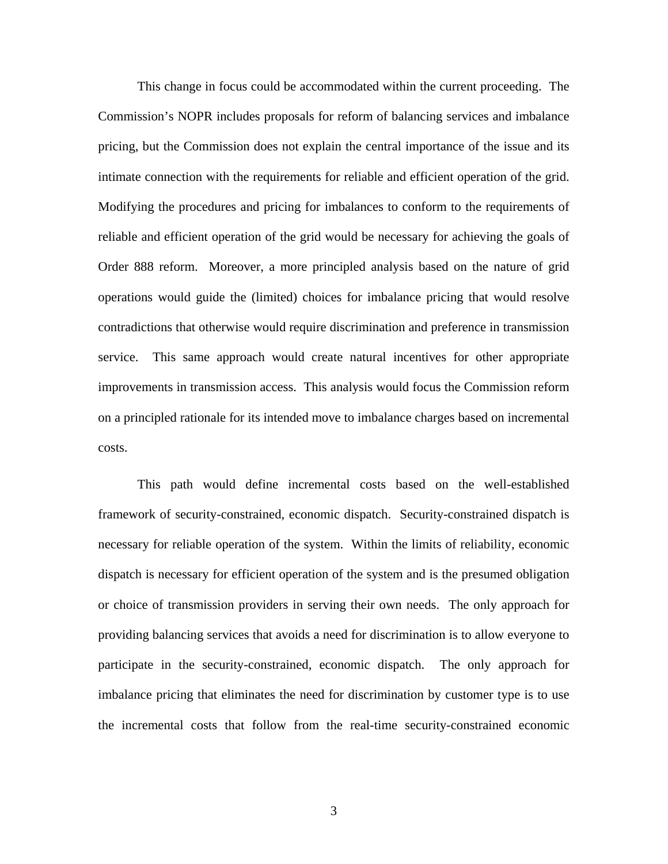This change in focus could be accommodated within the current proceeding. The Commission's NOPR includes proposals for reform of balancing services and imbalance pricing, but the Commission does not explain the central importance of the issue and its intimate connection with the requirements for reliable and efficient operation of the grid. Modifying the procedures and pricing for imbalances to conform to the requirements of reliable and efficient operation of the grid would be necessary for achieving the goals of Order 888 reform. Moreover, a more principled analysis based on the nature of grid operations would guide the (limited) choices for imbalance pricing that would resolve contradictions that otherwise would require discrimination and preference in transmission service. This same approach would create natural incentives for other appropriate improvements in transmission access. This analysis would focus the Commission reform on a principled rationale for its intended move to imbalance charges based on incremental costs.

This path would define incremental costs based on the well-established framework of security-constrained, economic dispatch. Security-constrained dispatch is necessary for reliable operation of the system. Within the limits of reliability, economic dispatch is necessary for efficient operation of the system and is the presumed obligation or choice of transmission providers in serving their own needs. The only approach for providing balancing services that avoids a need for discrimination is to allow everyone to participate in the security-constrained, economic dispatch. The only approach for imbalance pricing that eliminates the need for discrimination by customer type is to use the incremental costs that follow from the real-time security-constrained economic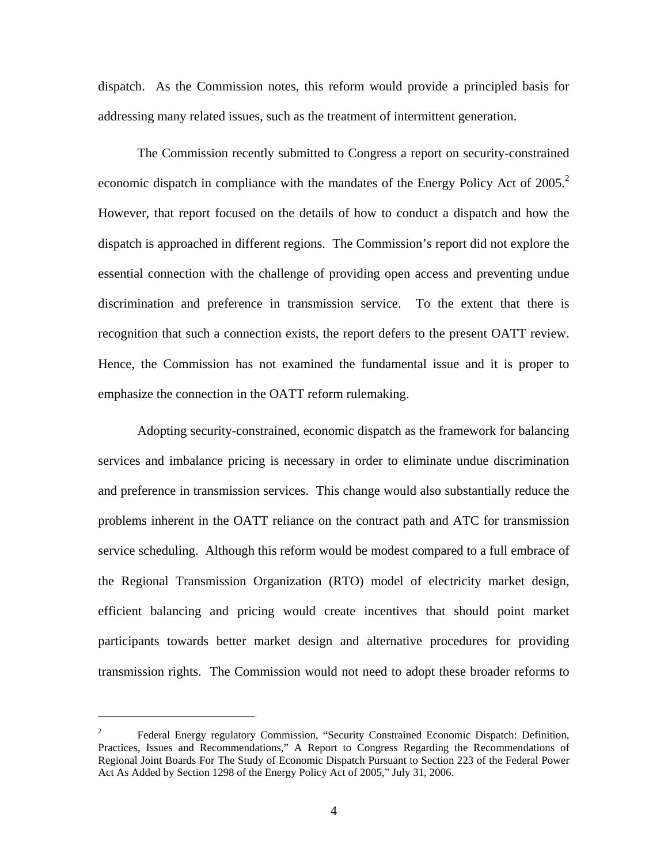dispatch. As the Commission notes, this reform would provide a principled basis for addressing many related issues, such as the treatment of intermittent generation.

The Commission recently submitted to Congress a report on security-constrained economic dispatch in compliance with the mandates of the Energy Policy Act of 2005.<sup>2</sup> However, that report focused on the details of how to conduct a dispatch and how the dispatch is approached in different regions. The Commission's report did not explore the essential connection with the challenge of providing open access and preventing undue discrimination and preference in transmission service. To the extent that there is recognition that such a connection exists, the report defers to the present OATT review. Hence, the Commission has not examined the fundamental issue and it is proper to emphasize the connection in the OATT reform rulemaking.

Adopting security-constrained, economic dispatch as the framework for balancing services and imbalance pricing is necessary in order to eliminate undue discrimination and preference in transmission services. This change would also substantially reduce the problems inherent in the OATT reliance on the contract path and ATC for transmission service scheduling. Although this reform would be modest compared to a full embrace of the Regional Transmission Organization (RTO) model of electricity market design, efficient balancing and pricing would create incentives that should point market participants towards better market design and alternative procedures for providing transmission rights. The Commission would not need to adopt these broader reforms to

<sup>2</sup> Federal Energy regulatory Commission, "Security Constrained Economic Dispatch: Definition, Practices, Issues and Recommendations," A Report to Congress Regarding the Recommendations of Regional Joint Boards For The Study of Economic Dispatch Pursuant to Section 223 of the Federal Power Act As Added by Section 1298 of the Energy Policy Act of 2005," July 31, 2006.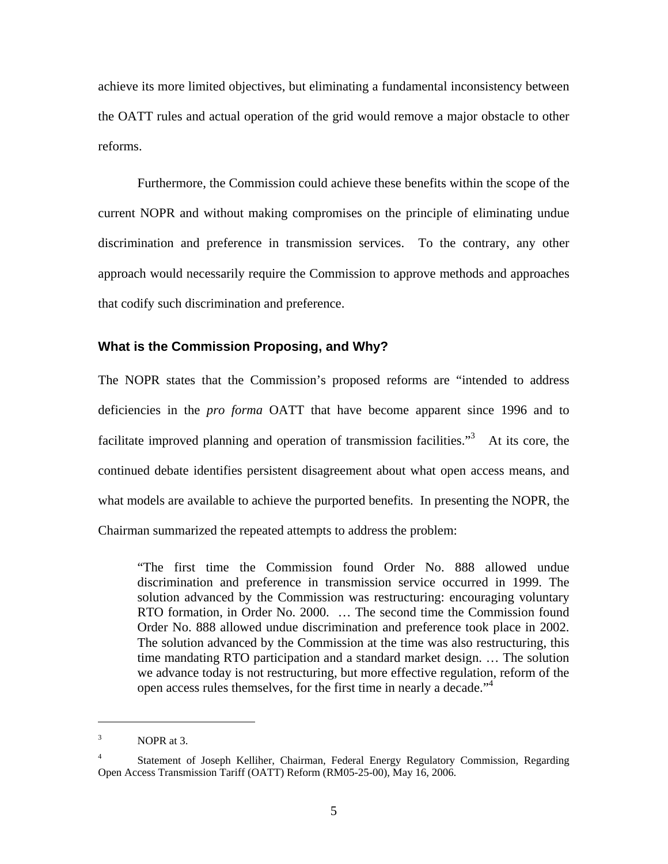achieve its more limited objectives, but eliminating a fundamental inconsistency between the OATT rules and actual operation of the grid would remove a major obstacle to other reforms.

Furthermore, the Commission could achieve these benefits within the scope of the current NOPR and without making compromises on the principle of eliminating undue discrimination and preference in transmission services. To the contrary, any other approach would necessarily require the Commission to approve methods and approaches that codify such discrimination and preference.

#### **What is the Commission Proposing, and Why?**

The NOPR states that the Commission's proposed reforms are "intended to address deficiencies in the *pro forma* OATT that have become apparent since 1996 and to facilitate improved planning and operation of transmission facilities.<sup>3</sup> At its core, the continued debate identifies persistent disagreement about what open access means, and what models are available to achieve the purported benefits. In presenting the NOPR, the Chairman summarized the repeated attempts to address the problem:

"The first time the Commission found Order No. 888 allowed undue discrimination and preference in transmission service occurred in 1999. The solution advanced by the Commission was restructuring: encouraging voluntary RTO formation, in Order No. 2000. … The second time the Commission found Order No. 888 allowed undue discrimination and preference took place in 2002. The solution advanced by the Commission at the time was also restructuring, this time mandating RTO participation and a standard market design. … The solution we advance today is not restructuring, but more effective regulation, reform of the open access rules themselves, for the first time in nearly a decade."<sup>4</sup>

<sup>3</sup> NOPR at 3.

<sup>4</sup> Statement of Joseph Kelliher, Chairman, Federal Energy Regulatory Commission, Regarding Open Access Transmission Tariff (OATT) Reform (RM05-25-00), May 16, 2006.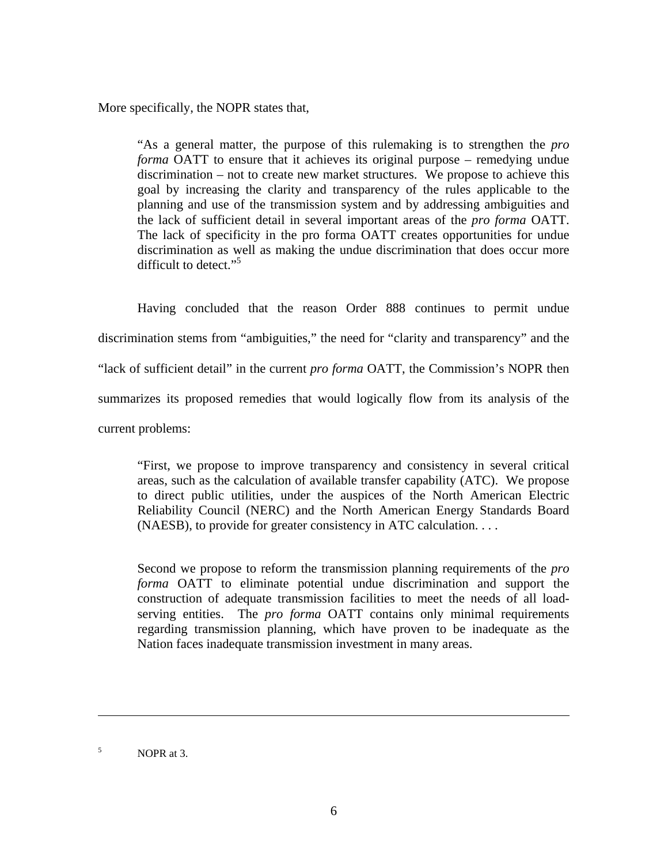More specifically, the NOPR states that,

"As a general matter, the purpose of this rulemaking is to strengthen the *pro forma* OATT to ensure that it achieves its original purpose – remedying undue discrimination – not to create new market structures. We propose to achieve this goal by increasing the clarity and transparency of the rules applicable to the planning and use of the transmission system and by addressing ambiguities and the lack of sufficient detail in several important areas of the *pro forma* OATT. The lack of specificity in the pro forma OATT creates opportunities for undue discrimination as well as making the undue discrimination that does occur more difficult to detect."<sup>5</sup>

Having concluded that the reason Order 888 continues to permit undue discrimination stems from "ambiguities," the need for "clarity and transparency" and the "lack of sufficient detail" in the current *pro forma* OATT, the Commission's NOPR then summarizes its proposed remedies that would logically flow from its analysis of the current problems:

"First, we propose to improve transparency and consistency in several critical areas, such as the calculation of available transfer capability (ATC). We propose to direct public utilities, under the auspices of the North American Electric Reliability Council (NERC) and the North American Energy Standards Board (NAESB), to provide for greater consistency in ATC calculation. . . .

Second we propose to reform the transmission planning requirements of the *pro forma* OATT to eliminate potential undue discrimination and support the construction of adequate transmission facilities to meet the needs of all loadserving entities. The *pro forma* OATT contains only minimal requirements regarding transmission planning, which have proven to be inadequate as the Nation faces inadequate transmission investment in many areas.

<sup>5</sup> NOPR at 3.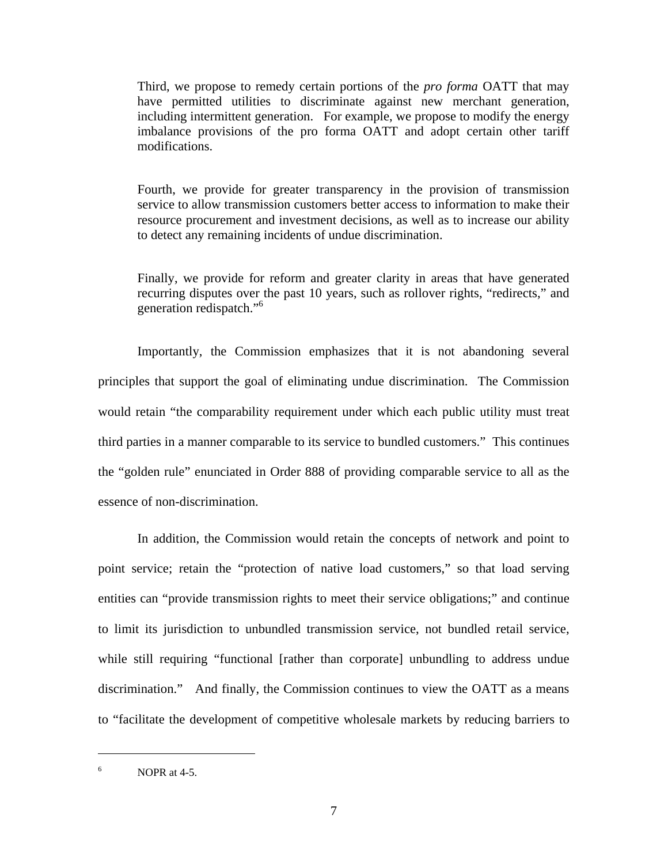Third, we propose to remedy certain portions of the *pro forma* OATT that may have permitted utilities to discriminate against new merchant generation, including intermittent generation. For example, we propose to modify the energy imbalance provisions of the pro forma OATT and adopt certain other tariff modifications.

Fourth, we provide for greater transparency in the provision of transmission service to allow transmission customers better access to information to make their resource procurement and investment decisions, as well as to increase our ability to detect any remaining incidents of undue discrimination.

Finally, we provide for reform and greater clarity in areas that have generated recurring disputes over the past 10 years, such as rollover rights, "redirects," and generation redispatch."6

Importantly, the Commission emphasizes that it is not abandoning several principles that support the goal of eliminating undue discrimination. The Commission would retain "the comparability requirement under which each public utility must treat third parties in a manner comparable to its service to bundled customers." This continues the "golden rule" enunciated in Order 888 of providing comparable service to all as the essence of non-discrimination.

In addition, the Commission would retain the concepts of network and point to point service; retain the "protection of native load customers," so that load serving entities can "provide transmission rights to meet their service obligations;" and continue to limit its jurisdiction to unbundled transmission service, not bundled retail service, while still requiring "functional [rather than corporate] unbundling to address undue discrimination." And finally, the Commission continues to view the OATT as a means to "facilitate the development of competitive wholesale markets by reducing barriers to

<sup>6</sup> NOPR at 4-5.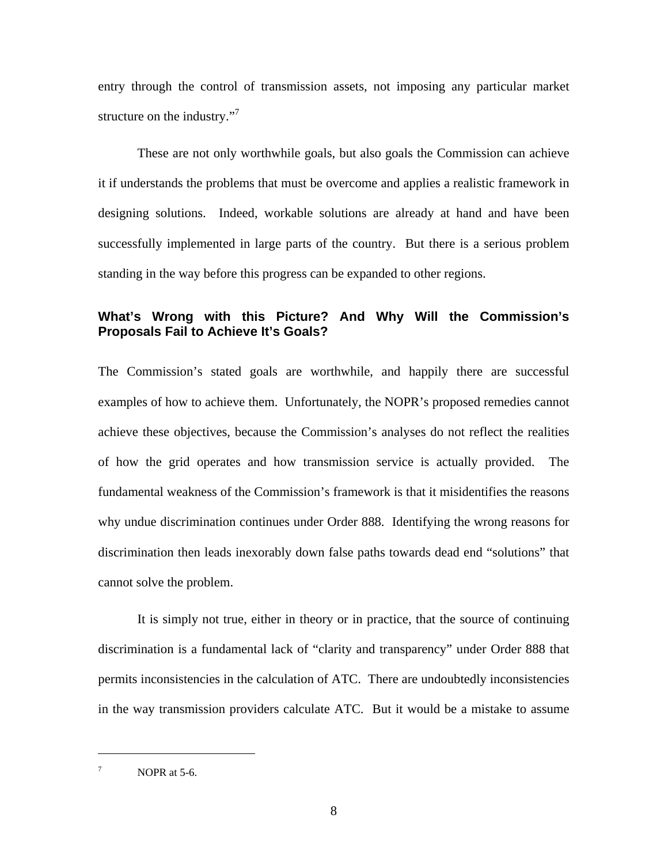entry through the control of transmission assets, not imposing any particular market structure on the industry."<sup>7</sup>

These are not only worthwhile goals, but also goals the Commission can achieve it if understands the problems that must be overcome and applies a realistic framework in designing solutions. Indeed, workable solutions are already at hand and have been successfully implemented in large parts of the country. But there is a serious problem standing in the way before this progress can be expanded to other regions.

## **What's Wrong with this Picture? And Why Will the Commission's Proposals Fail to Achieve It's Goals?**

The Commission's stated goals are worthwhile, and happily there are successful examples of how to achieve them. Unfortunately, the NOPR's proposed remedies cannot achieve these objectives, because the Commission's analyses do not reflect the realities of how the grid operates and how transmission service is actually provided. The fundamental weakness of the Commission's framework is that it misidentifies the reasons why undue discrimination continues under Order 888. Identifying the wrong reasons for discrimination then leads inexorably down false paths towards dead end "solutions" that cannot solve the problem.

It is simply not true, either in theory or in practice, that the source of continuing discrimination is a fundamental lack of "clarity and transparency" under Order 888 that permits inconsistencies in the calculation of ATC. There are undoubtedly inconsistencies in the way transmission providers calculate ATC. But it would be a mistake to assume

<sup>7</sup> NOPR at 5-6.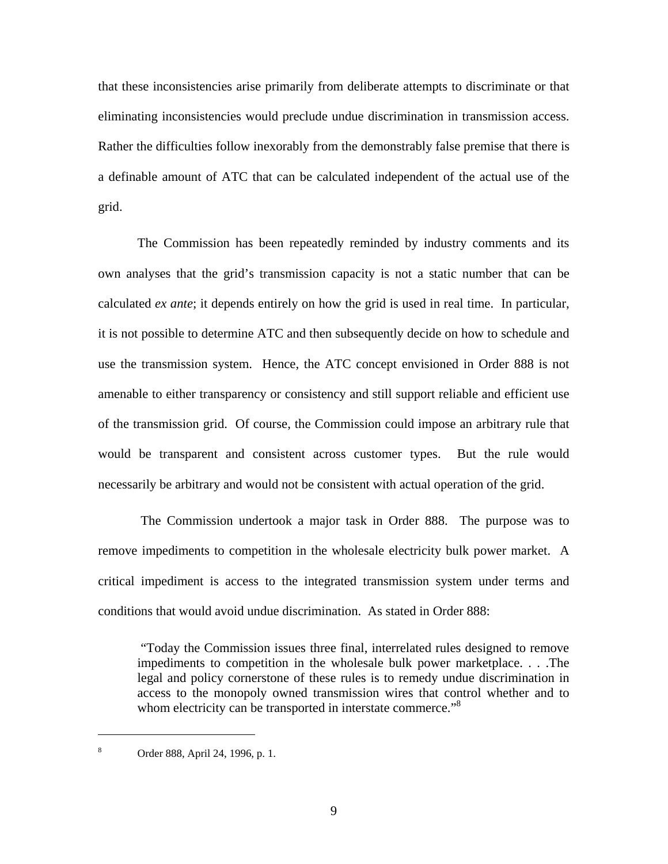that these inconsistencies arise primarily from deliberate attempts to discriminate or that eliminating inconsistencies would preclude undue discrimination in transmission access. Rather the difficulties follow inexorably from the demonstrably false premise that there is a definable amount of ATC that can be calculated independent of the actual use of the grid.

The Commission has been repeatedly reminded by industry comments and its own analyses that the grid's transmission capacity is not a static number that can be calculated *ex ante*; it depends entirely on how the grid is used in real time. In particular, it is not possible to determine ATC and then subsequently decide on how to schedule and use the transmission system. Hence, the ATC concept envisioned in Order 888 is not amenable to either transparency or consistency and still support reliable and efficient use of the transmission grid. Of course, the Commission could impose an arbitrary rule that would be transparent and consistent across customer types. But the rule would necessarily be arbitrary and would not be consistent with actual operation of the grid.

 The Commission undertook a major task in Order 888. The purpose was to remove impediments to competition in the wholesale electricity bulk power market. A critical impediment is access to the integrated transmission system under terms and conditions that would avoid undue discrimination. As stated in Order 888:

 "Today the Commission issues three final, interrelated rules designed to remove impediments to competition in the wholesale bulk power marketplace. . . .The legal and policy cornerstone of these rules is to remedy undue discrimination in access to the monopoly owned transmission wires that control whether and to whom electricity can be transported in interstate commerce."<sup>8</sup>

<sup>8</sup> Order 888, April 24, 1996, p. 1.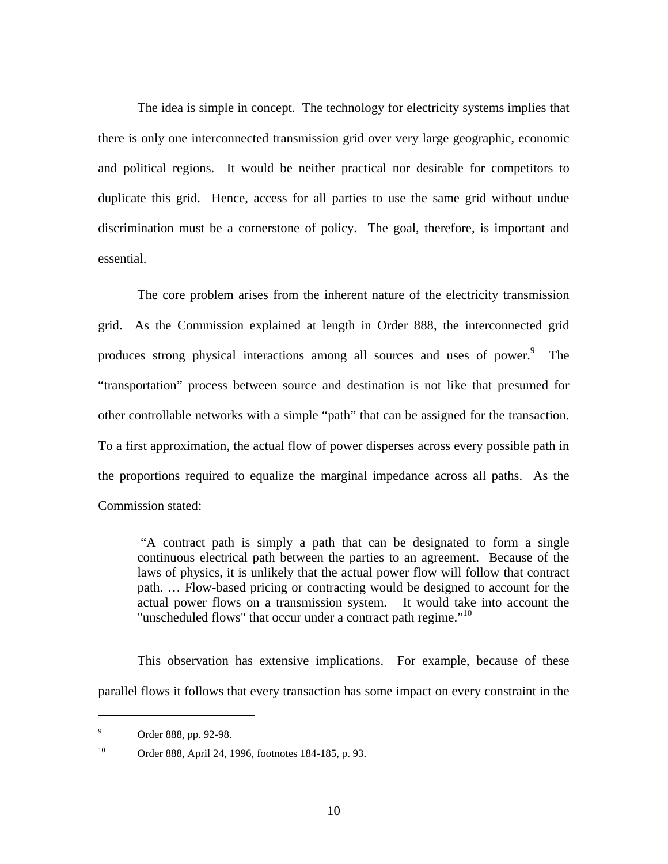The idea is simple in concept. The technology for electricity systems implies that there is only one interconnected transmission grid over very large geographic, economic and political regions. It would be neither practical nor desirable for competitors to duplicate this grid. Hence, access for all parties to use the same grid without undue discrimination must be a cornerstone of policy. The goal, therefore, is important and essential.

The core problem arises from the inherent nature of the electricity transmission grid. As the Commission explained at length in Order 888, the interconnected grid produces strong physical interactions among all sources and uses of power.<sup>9</sup> The "transportation" process between source and destination is not like that presumed for other controllable networks with a simple "path" that can be assigned for the transaction. To a first approximation, the actual flow of power disperses across every possible path in the proportions required to equalize the marginal impedance across all paths. As the Commission stated:

 "A contract path is simply a path that can be designated to form a single continuous electrical path between the parties to an agreement. Because of the laws of physics, it is unlikely that the actual power flow will follow that contract path. … Flow-based pricing or contracting would be designed to account for the actual power flows on a transmission system. It would take into account the "unscheduled flows" that occur under a contract path regime."<sup>10</sup>

This observation has extensive implications. For example, because of these parallel flows it follows that every transaction has some impact on every constraint in the

<sup>9</sup> Order 888, pp. 92-98.

<sup>10</sup> Order 888, April 24, 1996, footnotes 184-185, p. 93.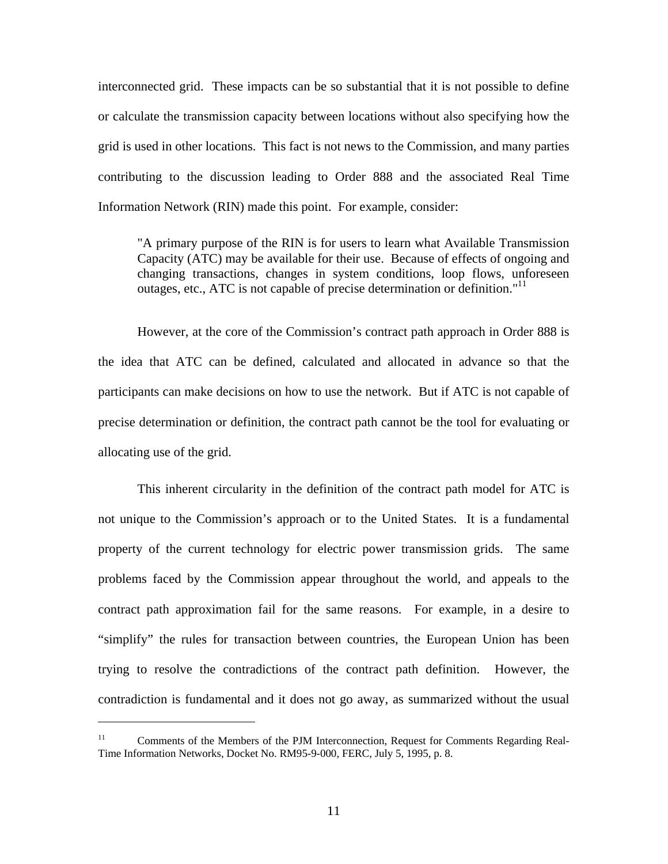interconnected grid. These impacts can be so substantial that it is not possible to define or calculate the transmission capacity between locations without also specifying how the grid is used in other locations. This fact is not news to the Commission, and many parties contributing to the discussion leading to Order 888 and the associated Real Time Information Network (RIN) made this point. For example, consider:

"A primary purpose of the RIN is for users to learn what Available Transmission Capacity (ATC) may be available for their use. Because of effects of ongoing and changing transactions, changes in system conditions, loop flows, unforeseen outages, etc., ATC is not capable of precise determination or definition."<sup>11</sup>

However, at the core of the Commission's contract path approach in Order 888 is the idea that ATC can be defined, calculated and allocated in advance so that the participants can make decisions on how to use the network. But if ATC is not capable of precise determination or definition, the contract path cannot be the tool for evaluating or allocating use of the grid.

This inherent circularity in the definition of the contract path model for ATC is not unique to the Commission's approach or to the United States. It is a fundamental property of the current technology for electric power transmission grids. The same problems faced by the Commission appear throughout the world, and appeals to the contract path approximation fail for the same reasons. For example, in a desire to "simplify" the rules for transaction between countries, the European Union has been trying to resolve the contradictions of the contract path definition. However, the contradiction is fundamental and it does not go away, as summarized without the usual

<sup>&</sup>lt;sup>11</sup> Comments of the Members of the PJM Interconnection, Request for Comments Regarding Real-Time Information Networks, Docket No. RM95-9-000, FERC, July 5, 1995, p. 8.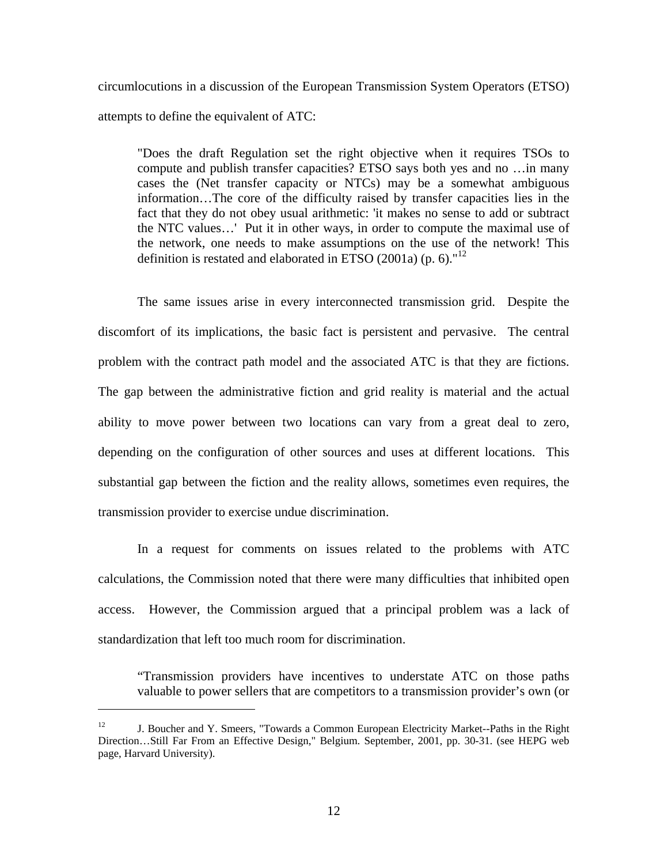circumlocutions in a discussion of the European Transmission System Operators (ETSO) attempts to define the equivalent of ATC:

"Does the draft Regulation set the right objective when it requires TSOs to compute and publish transfer capacities? ETSO says both yes and no …in many cases the (Net transfer capacity or NTCs) may be a somewhat ambiguous information…The core of the difficulty raised by transfer capacities lies in the fact that they do not obey usual arithmetic: 'it makes no sense to add or subtract the NTC values…' Put it in other ways, in order to compute the maximal use of the network, one needs to make assumptions on the use of the network! This definition is restated and elaborated in ETSO (2001a) (p. 6)."<sup>12</sup>

The same issues arise in every interconnected transmission grid. Despite the discomfort of its implications, the basic fact is persistent and pervasive. The central problem with the contract path model and the associated ATC is that they are fictions. The gap between the administrative fiction and grid reality is material and the actual ability to move power between two locations can vary from a great deal to zero, depending on the configuration of other sources and uses at different locations. This substantial gap between the fiction and the reality allows, sometimes even requires, the transmission provider to exercise undue discrimination.

In a request for comments on issues related to the problems with ATC calculations, the Commission noted that there were many difficulties that inhibited open access. However, the Commission argued that a principal problem was a lack of standardization that left too much room for discrimination.

"Transmission providers have incentives to understate ATC on those paths valuable to power sellers that are competitors to a transmission provider's own (or

<sup>&</sup>lt;sup>12</sup> J. Boucher and Y. Smeers, "Towards a Common European Electricity Market--Paths in the Right Direction…Still Far From an Effective Design," Belgium. September, 2001, pp. 30-31. (see HEPG web page, Harvard University).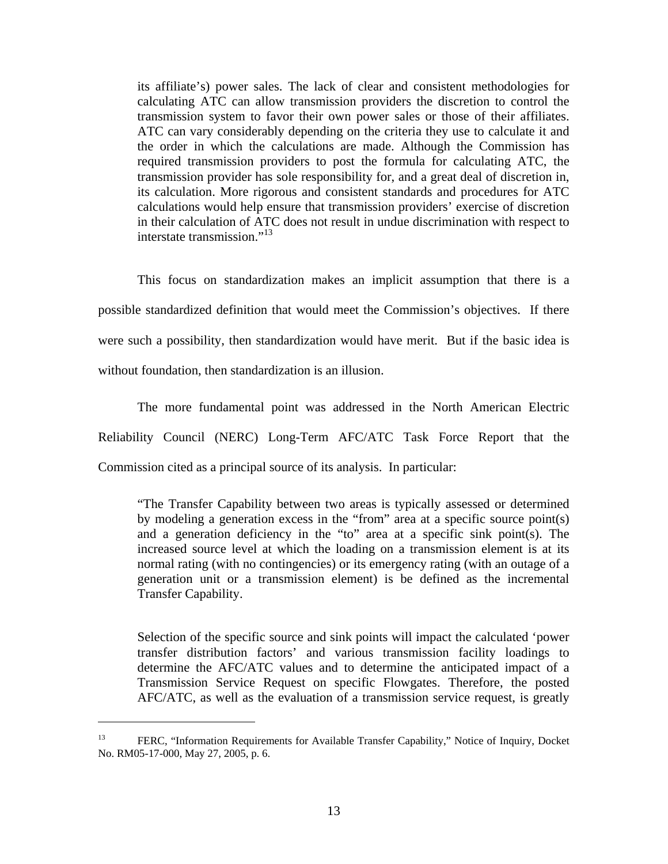its affiliate's) power sales. The lack of clear and consistent methodologies for calculating ATC can allow transmission providers the discretion to control the transmission system to favor their own power sales or those of their affiliates. ATC can vary considerably depending on the criteria they use to calculate it and the order in which the calculations are made. Although the Commission has required transmission providers to post the formula for calculating ATC, the transmission provider has sole responsibility for, and a great deal of discretion in, its calculation. More rigorous and consistent standards and procedures for ATC calculations would help ensure that transmission providers' exercise of discretion in their calculation of ATC does not result in undue discrimination with respect to interstate transmission."<sup>13</sup>

This focus on standardization makes an implicit assumption that there is a possible standardized definition that would meet the Commission's objectives. If there were such a possibility, then standardization would have merit. But if the basic idea is without foundation, then standardization is an illusion.

The more fundamental point was addressed in the North American Electric Reliability Council (NERC) Long-Term AFC/ATC Task Force Report that the Commission cited as a principal source of its analysis. In particular:

"The Transfer Capability between two areas is typically assessed or determined by modeling a generation excess in the "from" area at a specific source point(s) and a generation deficiency in the "to" area at a specific sink point(s). The increased source level at which the loading on a transmission element is at its normal rating (with no contingencies) or its emergency rating (with an outage of a generation unit or a transmission element) is be defined as the incremental Transfer Capability.

Selection of the specific source and sink points will impact the calculated 'power transfer distribution factors' and various transmission facility loadings to determine the AFC/ATC values and to determine the anticipated impact of a Transmission Service Request on specific Flowgates. Therefore, the posted AFC/ATC, as well as the evaluation of a transmission service request, is greatly

<sup>&</sup>lt;sup>13</sup> FERC, "Information Requirements for Available Transfer Capability," Notice of Inquiry, Docket No. RM05-17-000, May 27, 2005, p. 6.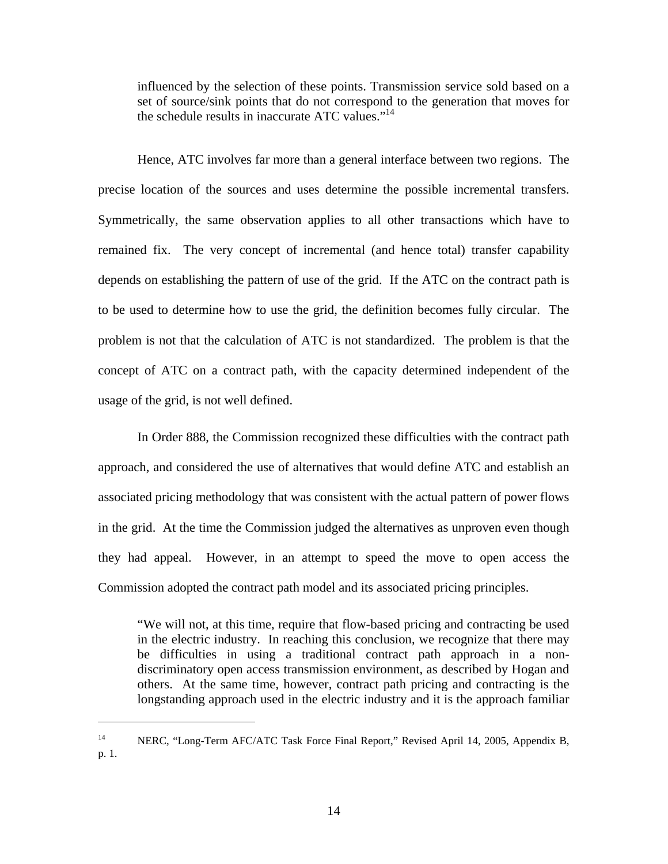influenced by the selection of these points. Transmission service sold based on a set of source/sink points that do not correspond to the generation that moves for the schedule results in inaccurate ATC values."<sup>14</sup>

Hence, ATC involves far more than a general interface between two regions. The precise location of the sources and uses determine the possible incremental transfers. Symmetrically, the same observation applies to all other transactions which have to remained fix. The very concept of incremental (and hence total) transfer capability depends on establishing the pattern of use of the grid. If the ATC on the contract path is to be used to determine how to use the grid, the definition becomes fully circular. The problem is not that the calculation of ATC is not standardized. The problem is that the concept of ATC on a contract path, with the capacity determined independent of the usage of the grid, is not well defined.

In Order 888, the Commission recognized these difficulties with the contract path approach, and considered the use of alternatives that would define ATC and establish an associated pricing methodology that was consistent with the actual pattern of power flows in the grid. At the time the Commission judged the alternatives as unproven even though they had appeal. However, in an attempt to speed the move to open access the Commission adopted the contract path model and its associated pricing principles.

"We will not, at this time, require that flow-based pricing and contracting be used in the electric industry. In reaching this conclusion, we recognize that there may be difficulties in using a traditional contract path approach in a nondiscriminatory open access transmission environment, as described by Hogan and others. At the same time, however, contract path pricing and contracting is the longstanding approach used in the electric industry and it is the approach familiar

<sup>&</sup>lt;sup>14</sup> NERC, "Long-Term AFC/ATC Task Force Final Report," Revised April 14, 2005, Appendix B, p. 1.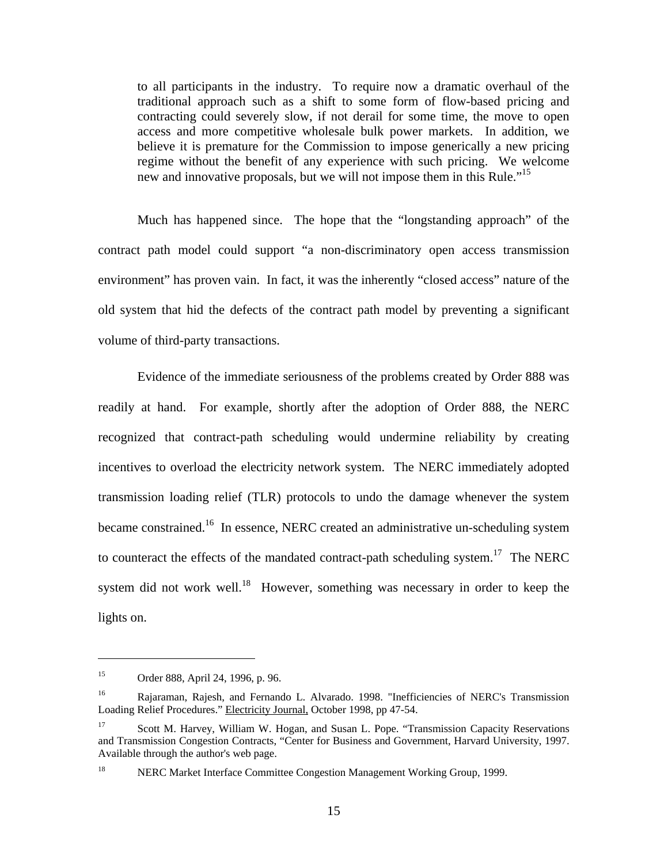to all participants in the industry. To require now a dramatic overhaul of the traditional approach such as a shift to some form of flow-based pricing and contracting could severely slow, if not derail for some time, the move to open access and more competitive wholesale bulk power markets. In addition, we believe it is premature for the Commission to impose generically a new pricing regime without the benefit of any experience with such pricing. We welcome new and innovative proposals, but we will not impose them in this Rule."<sup>15</sup>

Much has happened since. The hope that the "longstanding approach" of the contract path model could support "a non-discriminatory open access transmission environment" has proven vain. In fact, it was the inherently "closed access" nature of the old system that hid the defects of the contract path model by preventing a significant volume of third-party transactions.

Evidence of the immediate seriousness of the problems created by Order 888 was readily at hand. For example, shortly after the adoption of Order 888, the NERC recognized that contract-path scheduling would undermine reliability by creating incentives to overload the electricity network system. The NERC immediately adopted transmission loading relief (TLR) protocols to undo the damage whenever the system became constrained.<sup>16</sup> In essence, NERC created an administrative un-scheduling system to counteract the effects of the mandated contract-path scheduling system.<sup>17</sup> The NERC system did not work well.<sup>18</sup> However, something was necessary in order to keep the lights on.

<sup>15</sup> Order 888, April 24, 1996, p. 96.

<sup>&</sup>lt;sup>16</sup> Rajaraman, Rajesh, and Fernando L. Alvarado. 1998. "Inefficiencies of NERC's Transmission Loading Relief Procedures." Electricity Journal, October 1998, pp 47-54.

<sup>&</sup>lt;sup>17</sup> Scott M. Harvey, William W. Hogan, and Susan L. Pope. "Transmission Capacity Reservations" and Transmission Congestion Contracts, "Center for Business and Government, Harvard University, 1997. Available through the author's web page.

<sup>&</sup>lt;sup>18</sup> NERC Market Interface Committee Congestion Management Working Group, 1999.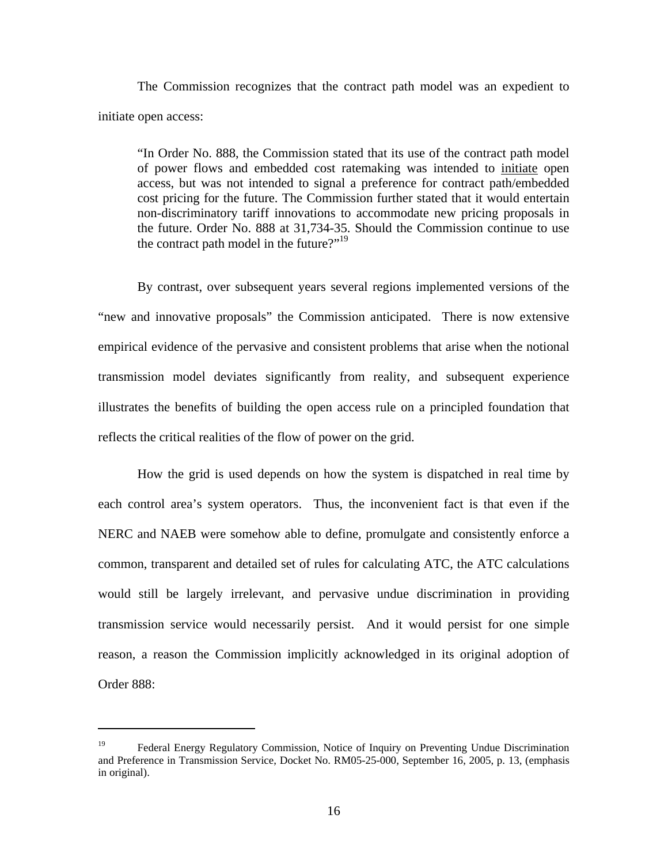The Commission recognizes that the contract path model was an expedient to initiate open access:

"In Order No. 888, the Commission stated that its use of the contract path model of power flows and embedded cost ratemaking was intended to initiate open access, but was not intended to signal a preference for contract path/embedded cost pricing for the future. The Commission further stated that it would entertain non-discriminatory tariff innovations to accommodate new pricing proposals in the future. Order No. 888 at 31,734-35. Should the Commission continue to use the contract path model in the future?"<sup>19</sup>

By contrast, over subsequent years several regions implemented versions of the "new and innovative proposals" the Commission anticipated. There is now extensive empirical evidence of the pervasive and consistent problems that arise when the notional transmission model deviates significantly from reality, and subsequent experience illustrates the benefits of building the open access rule on a principled foundation that reflects the critical realities of the flow of power on the grid.

How the grid is used depends on how the system is dispatched in real time by each control area's system operators. Thus, the inconvenient fact is that even if the NERC and NAEB were somehow able to define, promulgate and consistently enforce a common, transparent and detailed set of rules for calculating ATC, the ATC calculations would still be largely irrelevant, and pervasive undue discrimination in providing transmission service would necessarily persist. And it would persist for one simple reason, a reason the Commission implicitly acknowledged in its original adoption of Order 888:

<sup>&</sup>lt;sup>19</sup> Federal Energy Regulatory Commission, Notice of Inquiry on Preventing Undue Discrimination and Preference in Transmission Service, Docket No. RM05-25-000, September 16, 2005, p. 13, (emphasis in original).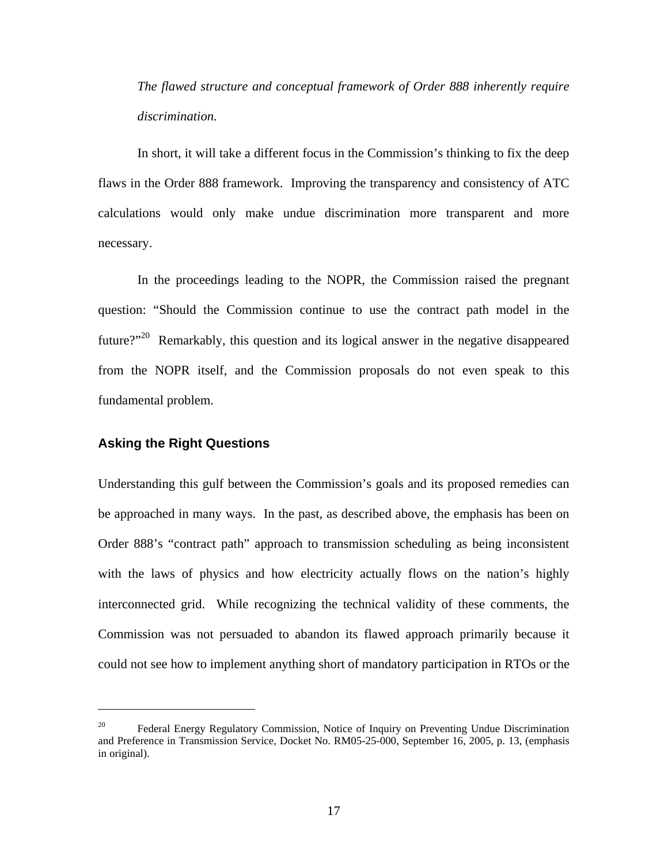*The flawed structure and conceptual framework of Order 888 inherently require discrimination.* 

In short, it will take a different focus in the Commission's thinking to fix the deep flaws in the Order 888 framework. Improving the transparency and consistency of ATC calculations would only make undue discrimination more transparent and more necessary.

In the proceedings leading to the NOPR, the Commission raised the pregnant question: "Should the Commission continue to use the contract path model in the future?"<sup>20</sup> Remarkably, this question and its logical answer in the negative disappeared from the NOPR itself, and the Commission proposals do not even speak to this fundamental problem.

## **Asking the Right Questions**

 $\overline{a}$ 

Understanding this gulf between the Commission's goals and its proposed remedies can be approached in many ways. In the past, as described above, the emphasis has been on Order 888's "contract path" approach to transmission scheduling as being inconsistent with the laws of physics and how electricity actually flows on the nation's highly interconnected grid. While recognizing the technical validity of these comments, the Commission was not persuaded to abandon its flawed approach primarily because it could not see how to implement anything short of mandatory participation in RTOs or the

<sup>&</sup>lt;sup>20</sup> Federal Energy Regulatory Commission, Notice of Inquiry on Preventing Undue Discrimination and Preference in Transmission Service, Docket No. RM05-25-000, September 16, 2005, p. 13, (emphasis in original).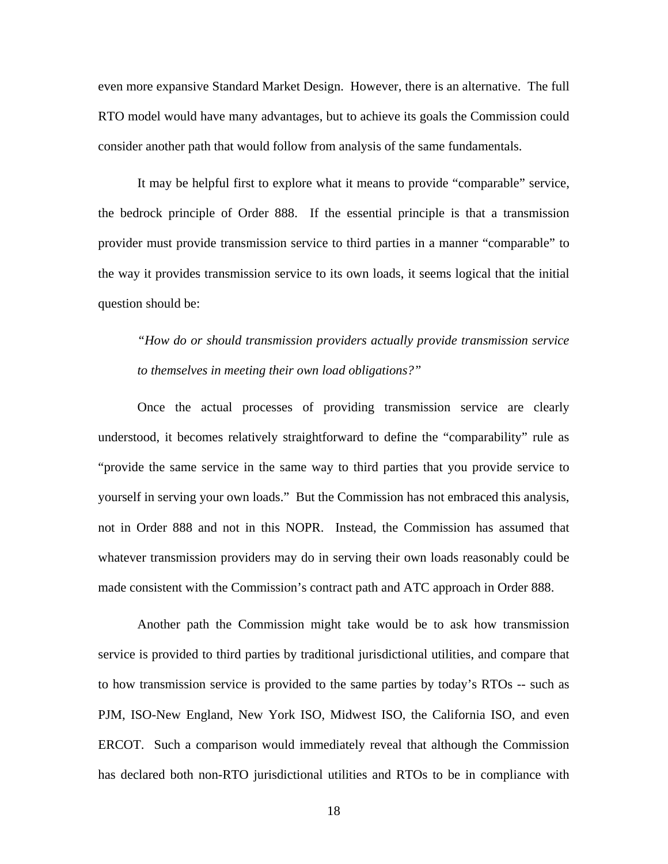even more expansive Standard Market Design. However, there is an alternative. The full RTO model would have many advantages, but to achieve its goals the Commission could consider another path that would follow from analysis of the same fundamentals.

It may be helpful first to explore what it means to provide "comparable" service, the bedrock principle of Order 888. If the essential principle is that a transmission provider must provide transmission service to third parties in a manner "comparable" to the way it provides transmission service to its own loads, it seems logical that the initial question should be:

*"How do or should transmission providers actually provide transmission service to themselves in meeting their own load obligations?"* 

Once the actual processes of providing transmission service are clearly understood, it becomes relatively straightforward to define the "comparability" rule as "provide the same service in the same way to third parties that you provide service to yourself in serving your own loads." But the Commission has not embraced this analysis, not in Order 888 and not in this NOPR. Instead, the Commission has assumed that whatever transmission providers may do in serving their own loads reasonably could be made consistent with the Commission's contract path and ATC approach in Order 888.

Another path the Commission might take would be to ask how transmission service is provided to third parties by traditional jurisdictional utilities, and compare that to how transmission service is provided to the same parties by today's RTOs -- such as PJM, ISO-New England, New York ISO, Midwest ISO, the California ISO, and even ERCOT. Such a comparison would immediately reveal that although the Commission has declared both non-RTO jurisdictional utilities and RTOs to be in compliance with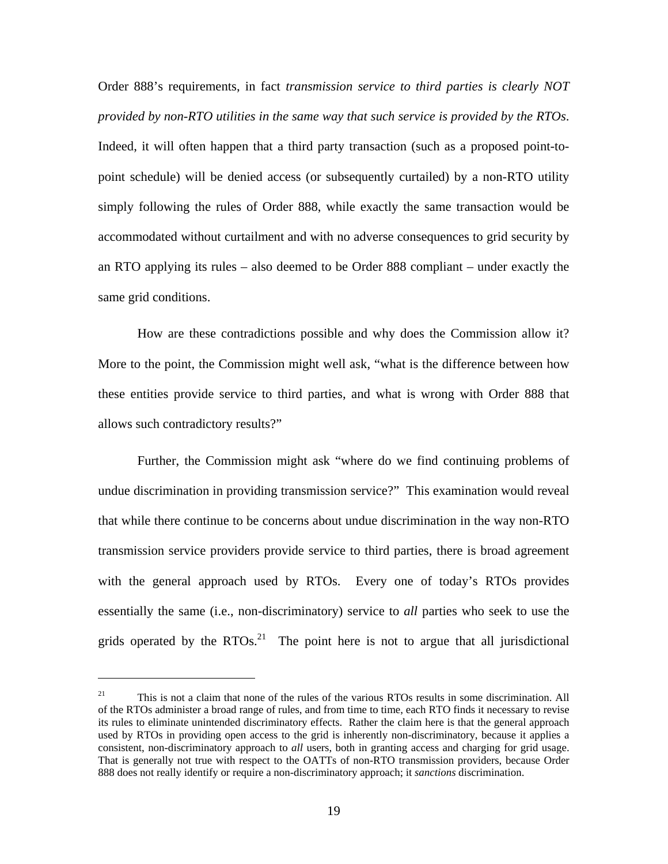Order 888's requirements, in fact *transmission service to third parties is clearly NOT provided by non-RTO utilities in the same way that such service is provided by the RTOs*. Indeed, it will often happen that a third party transaction (such as a proposed point-topoint schedule) will be denied access (or subsequently curtailed) by a non-RTO utility simply following the rules of Order 888, while exactly the same transaction would be accommodated without curtailment and with no adverse consequences to grid security by an RTO applying its rules – also deemed to be Order 888 compliant – under exactly the same grid conditions.

How are these contradictions possible and why does the Commission allow it? More to the point, the Commission might well ask, "what is the difference between how these entities provide service to third parties, and what is wrong with Order 888 that allows such contradictory results?"

Further, the Commission might ask "where do we find continuing problems of undue discrimination in providing transmission service?" This examination would reveal that while there continue to be concerns about undue discrimination in the way non-RTO transmission service providers provide service to third parties, there is broad agreement with the general approach used by RTOs. Every one of today's RTOs provides essentially the same (i.e., non-discriminatory) service to *all* parties who seek to use the grids operated by the  $RTOs.<sup>21</sup>$  The point here is not to argue that all jurisdictional

<u>.</u>

<sup>&</sup>lt;sup>21</sup> This is not a claim that none of the rules of the various RTOs results in some discrimination. All of the RTOs administer a broad range of rules, and from time to time, each RTO finds it necessary to revise its rules to eliminate unintended discriminatory effects. Rather the claim here is that the general approach used by RTOs in providing open access to the grid is inherently non-discriminatory, because it applies a consistent, non-discriminatory approach to *all* users, both in granting access and charging for grid usage. That is generally not true with respect to the OATTs of non-RTO transmission providers, because Order 888 does not really identify or require a non-discriminatory approach; it *sanctions* discrimination.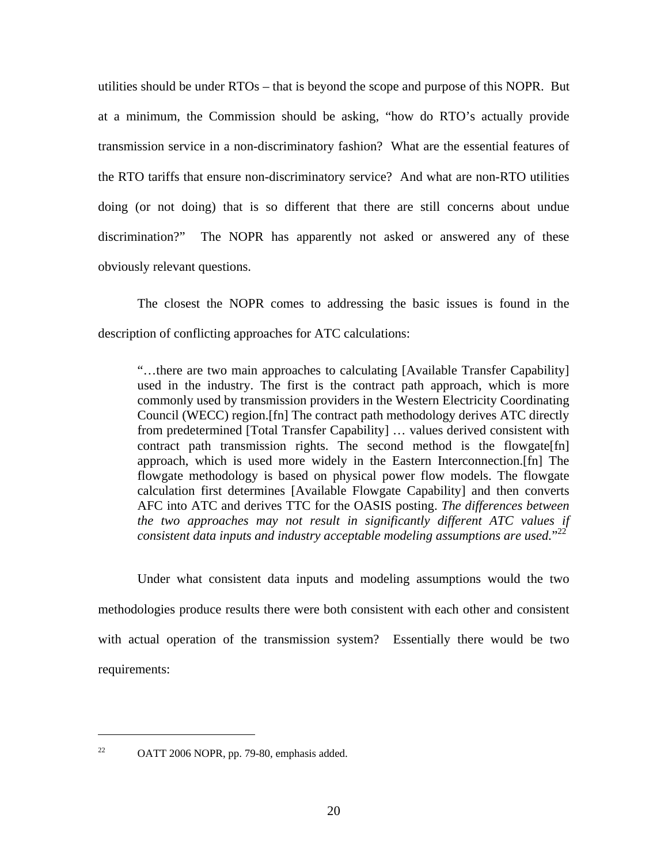utilities should be under RTOs – that is beyond the scope and purpose of this NOPR. But at a minimum, the Commission should be asking, "how do RTO's actually provide transmission service in a non-discriminatory fashion? What are the essential features of the RTO tariffs that ensure non-discriminatory service? And what are non-RTO utilities doing (or not doing) that is so different that there are still concerns about undue discrimination?" The NOPR has apparently not asked or answered any of these obviously relevant questions.

The closest the NOPR comes to addressing the basic issues is found in the description of conflicting approaches for ATC calculations:

"…there are two main approaches to calculating [Available Transfer Capability] used in the industry. The first is the contract path approach, which is more commonly used by transmission providers in the Western Electricity Coordinating Council (WECC) region.[fn] The contract path methodology derives ATC directly from predetermined [Total Transfer Capability] … values derived consistent with contract path transmission rights. The second method is the flowgate[fn] approach, which is used more widely in the Eastern Interconnection.[fn] The flowgate methodology is based on physical power flow models. The flowgate calculation first determines [Available Flowgate Capability] and then converts AFC into ATC and derives TTC for the OASIS posting. *The differences between the two approaches may not result in significantly different ATC values if consistent data inputs and industry acceptable modeling assumptions are used.*" 22

Under what consistent data inputs and modeling assumptions would the two methodologies produce results there were both consistent with each other and consistent with actual operation of the transmission system? Essentially there would be two requirements:

<sup>22</sup> OATT 2006 NOPR, pp. 79-80, emphasis added.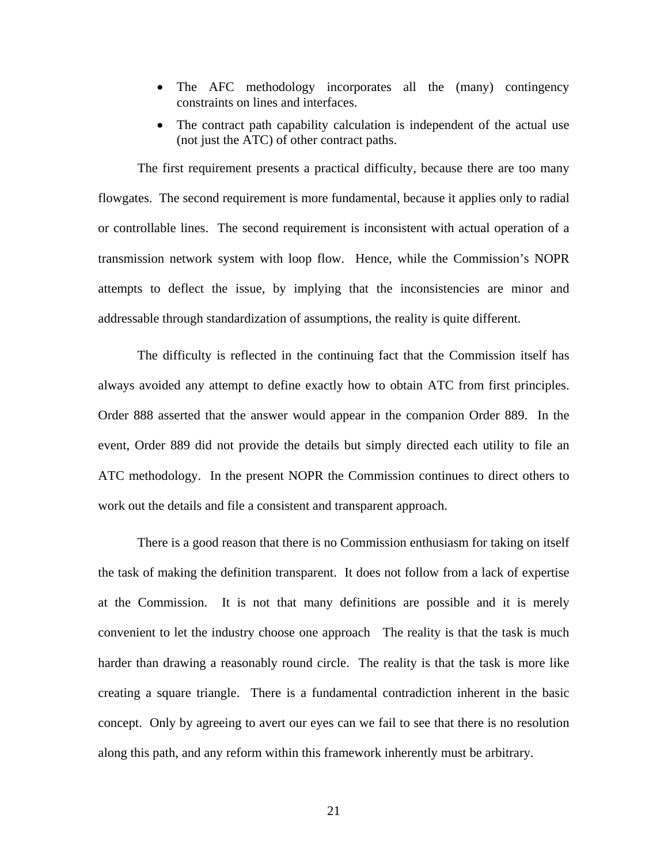- The AFC methodology incorporates all the (many) contingency constraints on lines and interfaces.
- The contract path capability calculation is independent of the actual use (not just the ATC) of other contract paths.

The first requirement presents a practical difficulty, because there are too many flowgates. The second requirement is more fundamental, because it applies only to radial or controllable lines. The second requirement is inconsistent with actual operation of a transmission network system with loop flow. Hence, while the Commission's NOPR attempts to deflect the issue, by implying that the inconsistencies are minor and addressable through standardization of assumptions, the reality is quite different.

The difficulty is reflected in the continuing fact that the Commission itself has always avoided any attempt to define exactly how to obtain ATC from first principles. Order 888 asserted that the answer would appear in the companion Order 889. In the event, Order 889 did not provide the details but simply directed each utility to file an ATC methodology. In the present NOPR the Commission continues to direct others to work out the details and file a consistent and transparent approach.

There is a good reason that there is no Commission enthusiasm for taking on itself the task of making the definition transparent. It does not follow from a lack of expertise at the Commission. It is not that many definitions are possible and it is merely convenient to let the industry choose one approach The reality is that the task is much harder than drawing a reasonably round circle. The reality is that the task is more like creating a square triangle. There is a fundamental contradiction inherent in the basic concept. Only by agreeing to avert our eyes can we fail to see that there is no resolution along this path, and any reform within this framework inherently must be arbitrary.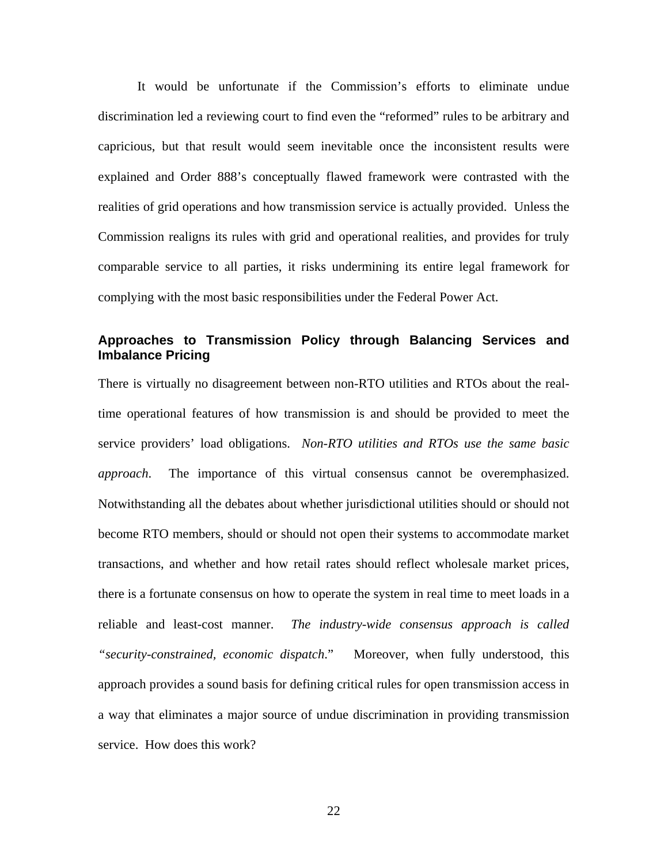It would be unfortunate if the Commission's efforts to eliminate undue discrimination led a reviewing court to find even the "reformed" rules to be arbitrary and capricious, but that result would seem inevitable once the inconsistent results were explained and Order 888's conceptually flawed framework were contrasted with the realities of grid operations and how transmission service is actually provided. Unless the Commission realigns its rules with grid and operational realities, and provides for truly comparable service to all parties, it risks undermining its entire legal framework for complying with the most basic responsibilities under the Federal Power Act.

## **Approaches to Transmission Policy through Balancing Services and Imbalance Pricing**

There is virtually no disagreement between non-RTO utilities and RTOs about the realtime operational features of how transmission is and should be provided to meet the service providers' load obligations. *Non-RTO utilities and RTOs use the same basic approach*. The importance of this virtual consensus cannot be overemphasized. Notwithstanding all the debates about whether jurisdictional utilities should or should not become RTO members, should or should not open their systems to accommodate market transactions, and whether and how retail rates should reflect wholesale market prices, there is a fortunate consensus on how to operate the system in real time to meet loads in a reliable and least-cost manner. *The industry-wide consensus approach is called "security-constrained, economic dispatch*." Moreover, when fully understood, this approach provides a sound basis for defining critical rules for open transmission access in a way that eliminates a major source of undue discrimination in providing transmission service. How does this work?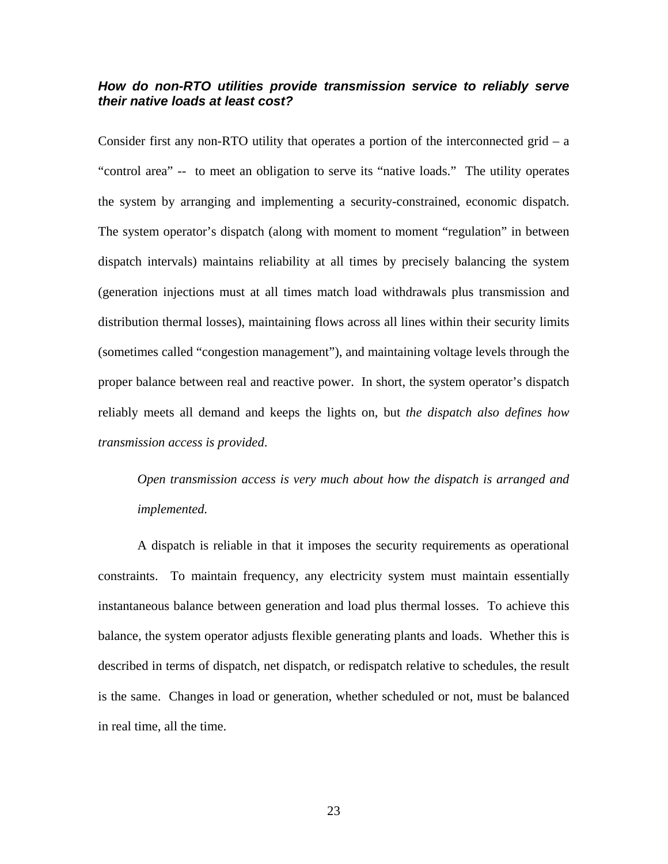## *How do non-RTO utilities provide transmission service to reliably serve their native loads at least cost?*

Consider first any non-RTO utility that operates a portion of the interconnected grid  $- a$ "control area" -- to meet an obligation to serve its "native loads." The utility operates the system by arranging and implementing a security-constrained, economic dispatch. The system operator's dispatch (along with moment to moment "regulation" in between dispatch intervals) maintains reliability at all times by precisely balancing the system (generation injections must at all times match load withdrawals plus transmission and distribution thermal losses), maintaining flows across all lines within their security limits (sometimes called "congestion management"), and maintaining voltage levels through the proper balance between real and reactive power. In short, the system operator's dispatch reliably meets all demand and keeps the lights on, but *the dispatch also defines how transmission access is provided*.

*Open transmission access is very much about how the dispatch is arranged and implemented.* 

A dispatch is reliable in that it imposes the security requirements as operational constraints. To maintain frequency, any electricity system must maintain essentially instantaneous balance between generation and load plus thermal losses. To achieve this balance, the system operator adjusts flexible generating plants and loads. Whether this is described in terms of dispatch, net dispatch, or redispatch relative to schedules, the result is the same. Changes in load or generation, whether scheduled or not, must be balanced in real time, all the time.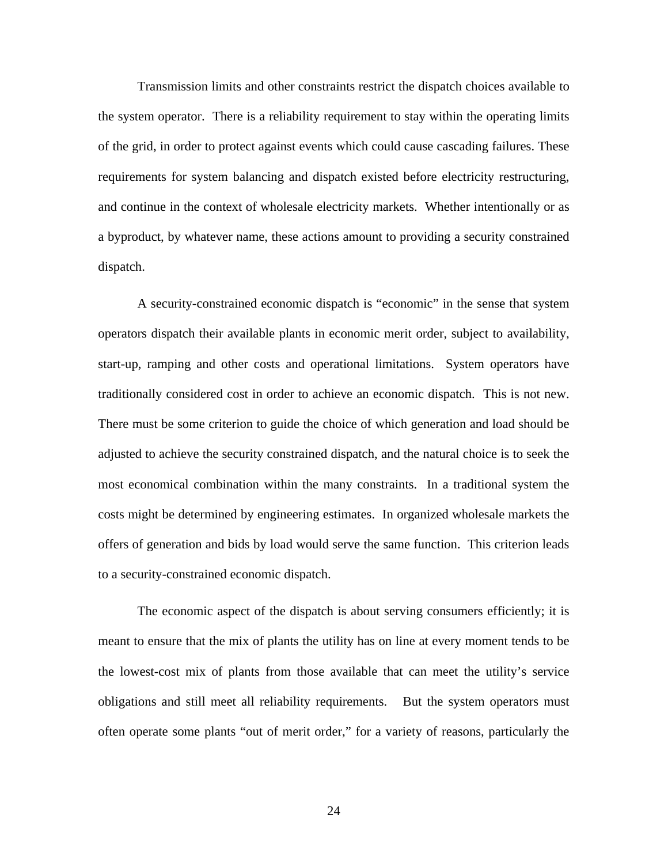Transmission limits and other constraints restrict the dispatch choices available to the system operator. There is a reliability requirement to stay within the operating limits of the grid, in order to protect against events which could cause cascading failures. These requirements for system balancing and dispatch existed before electricity restructuring, and continue in the context of wholesale electricity markets. Whether intentionally or as a byproduct, by whatever name, these actions amount to providing a security constrained dispatch.

A security-constrained economic dispatch is "economic" in the sense that system operators dispatch their available plants in economic merit order, subject to availability, start-up, ramping and other costs and operational limitations. System operators have traditionally considered cost in order to achieve an economic dispatch. This is not new. There must be some criterion to guide the choice of which generation and load should be adjusted to achieve the security constrained dispatch, and the natural choice is to seek the most economical combination within the many constraints. In a traditional system the costs might be determined by engineering estimates. In organized wholesale markets the offers of generation and bids by load would serve the same function. This criterion leads to a security-constrained economic dispatch.

The economic aspect of the dispatch is about serving consumers efficiently; it is meant to ensure that the mix of plants the utility has on line at every moment tends to be the lowest-cost mix of plants from those available that can meet the utility's service obligations and still meet all reliability requirements. But the system operators must often operate some plants "out of merit order," for a variety of reasons, particularly the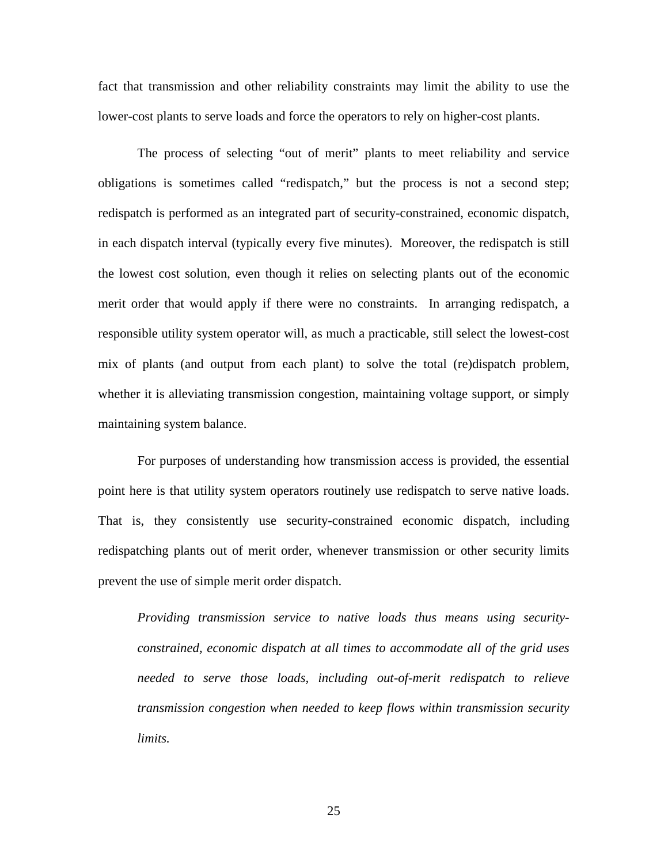fact that transmission and other reliability constraints may limit the ability to use the lower-cost plants to serve loads and force the operators to rely on higher-cost plants.

The process of selecting "out of merit" plants to meet reliability and service obligations is sometimes called "redispatch," but the process is not a second step; redispatch is performed as an integrated part of security-constrained, economic dispatch, in each dispatch interval (typically every five minutes). Moreover, the redispatch is still the lowest cost solution, even though it relies on selecting plants out of the economic merit order that would apply if there were no constraints. In arranging redispatch, a responsible utility system operator will, as much a practicable, still select the lowest-cost mix of plants (and output from each plant) to solve the total (re)dispatch problem, whether it is alleviating transmission congestion, maintaining voltage support, or simply maintaining system balance.

For purposes of understanding how transmission access is provided, the essential point here is that utility system operators routinely use redispatch to serve native loads. That is, they consistently use security-constrained economic dispatch, including redispatching plants out of merit order, whenever transmission or other security limits prevent the use of simple merit order dispatch.

*Providing transmission service to native loads thus means using securityconstrained, economic dispatch at all times to accommodate all of the grid uses needed to serve those loads, including out-of-merit redispatch to relieve transmission congestion when needed to keep flows within transmission security limits.*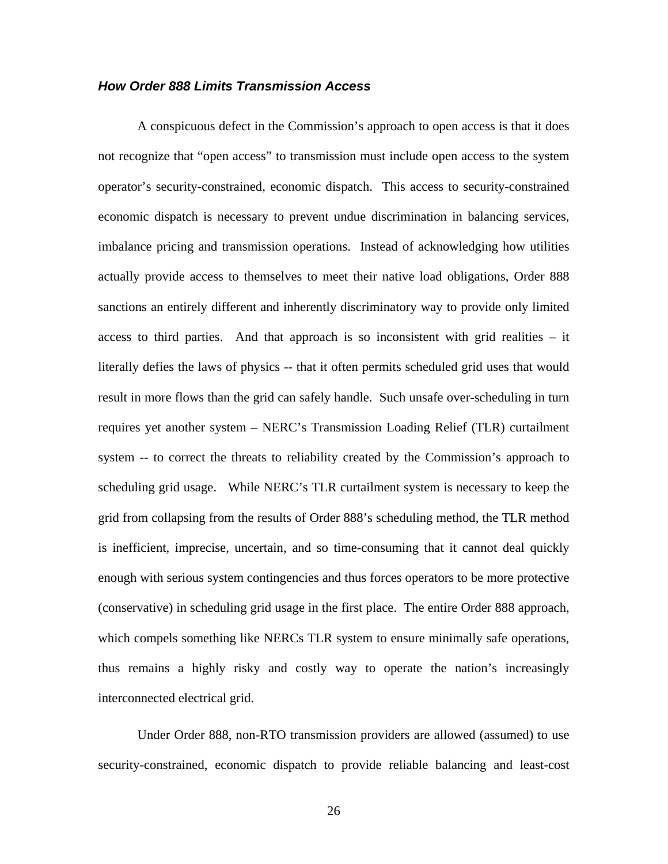## *How Order 888 Limits Transmission Access*

A conspicuous defect in the Commission's approach to open access is that it does not recognize that "open access" to transmission must include open access to the system operator's security-constrained, economic dispatch. This access to security-constrained economic dispatch is necessary to prevent undue discrimination in balancing services, imbalance pricing and transmission operations. Instead of acknowledging how utilities actually provide access to themselves to meet their native load obligations, Order 888 sanctions an entirely different and inherently discriminatory way to provide only limited access to third parties. And that approach is so inconsistent with grid realities – it literally defies the laws of physics -- that it often permits scheduled grid uses that would result in more flows than the grid can safely handle. Such unsafe over-scheduling in turn requires yet another system – NERC's Transmission Loading Relief (TLR) curtailment system -- to correct the threats to reliability created by the Commission's approach to scheduling grid usage. While NERC's TLR curtailment system is necessary to keep the grid from collapsing from the results of Order 888's scheduling method, the TLR method is inefficient, imprecise, uncertain, and so time-consuming that it cannot deal quickly enough with serious system contingencies and thus forces operators to be more protective (conservative) in scheduling grid usage in the first place. The entire Order 888 approach, which compels something like NERCs TLR system to ensure minimally safe operations, thus remains a highly risky and costly way to operate the nation's increasingly interconnected electrical grid.

Under Order 888, non-RTO transmission providers are allowed (assumed) to use security-constrained, economic dispatch to provide reliable balancing and least-cost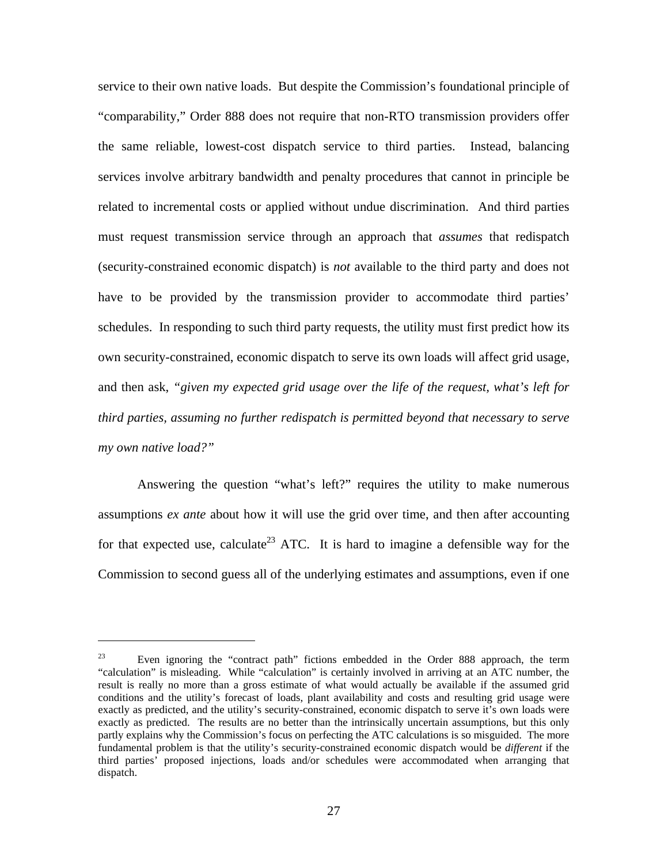service to their own native loads. But despite the Commission's foundational principle of "comparability," Order 888 does not require that non-RTO transmission providers offer the same reliable, lowest-cost dispatch service to third parties. Instead, balancing services involve arbitrary bandwidth and penalty procedures that cannot in principle be related to incremental costs or applied without undue discrimination. And third parties must request transmission service through an approach that *assumes* that redispatch (security-constrained economic dispatch) is *not* available to the third party and does not have to be provided by the transmission provider to accommodate third parties' schedules. In responding to such third party requests, the utility must first predict how its own security-constrained, economic dispatch to serve its own loads will affect grid usage, and then ask, *"given my expected grid usage over the life of the request, what's left for third parties, assuming no further redispatch is permitted beyond that necessary to serve my own native load?"*

Answering the question "what's left?" requires the utility to make numerous assumptions *ex ante* about how it will use the grid over time, and then after accounting for that expected use, calculate<sup>23</sup> ATC. It is hard to imagine a defensible way for the Commission to second guess all of the underlying estimates and assumptions, even if one

<sup>&</sup>lt;sup>23</sup> Even ignoring the "contract path" fictions embedded in the Order 888 approach, the term "calculation" is misleading. While "calculation" is certainly involved in arriving at an ATC number, the result is really no more than a gross estimate of what would actually be available if the assumed grid conditions and the utility's forecast of loads, plant availability and costs and resulting grid usage were exactly as predicted, and the utility's security-constrained, economic dispatch to serve it's own loads were exactly as predicted. The results are no better than the intrinsically uncertain assumptions, but this only partly explains why the Commission's focus on perfecting the ATC calculations is so misguided. The more fundamental problem is that the utility's security-constrained economic dispatch would be *different* if the third parties' proposed injections, loads and/or schedules were accommodated when arranging that dispatch.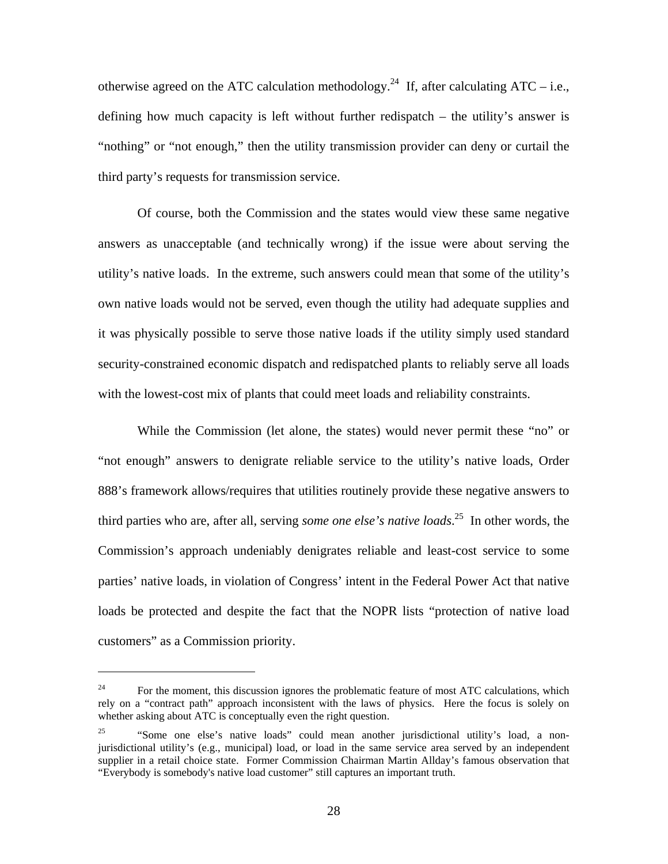otherwise agreed on the ATC calculation methodology.<sup>24</sup> If, after calculating ATC – i.e., defining how much capacity is left without further redispatch – the utility's answer is "nothing" or "not enough," then the utility transmission provider can deny or curtail the third party's requests for transmission service.

Of course, both the Commission and the states would view these same negative answers as unacceptable (and technically wrong) if the issue were about serving the utility's native loads. In the extreme, such answers could mean that some of the utility's own native loads would not be served, even though the utility had adequate supplies and it was physically possible to serve those native loads if the utility simply used standard security-constrained economic dispatch and redispatched plants to reliably serve all loads with the lowest-cost mix of plants that could meet loads and reliability constraints.

While the Commission (let alone, the states) would never permit these "no" or "not enough" answers to denigrate reliable service to the utility's native loads, Order 888's framework allows/requires that utilities routinely provide these negative answers to third parties who are, after all, serving *some one else's native loads*. 25 In other words, the Commission's approach undeniably denigrates reliable and least-cost service to some parties' native loads, in violation of Congress' intent in the Federal Power Act that native loads be protected and despite the fact that the NOPR lists "protection of native load customers" as a Commission priority.

<sup>&</sup>lt;sup>24</sup> For the moment, this discussion ignores the problematic feature of most ATC calculations, which rely on a "contract path" approach inconsistent with the laws of physics. Here the focus is solely on whether asking about ATC is conceptually even the right question.

<sup>&</sup>lt;sup>25</sup> "Some one else's native loads" could mean another jurisdictional utility's load, a nonjurisdictional utility's (e.g., municipal) load, or load in the same service area served by an independent supplier in a retail choice state. Former Commission Chairman Martin Allday's famous observation that "Everybody is somebody's native load customer" still captures an important truth.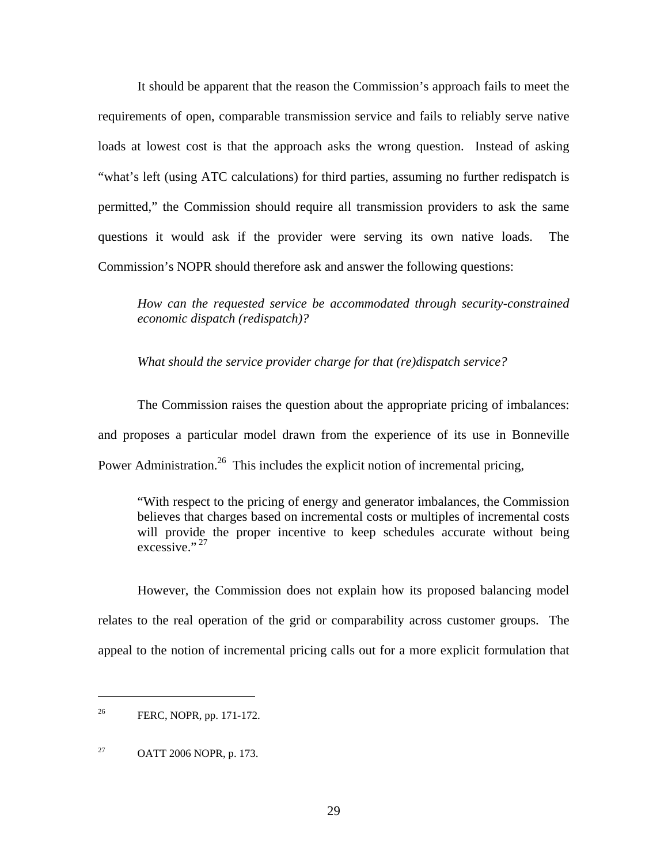It should be apparent that the reason the Commission's approach fails to meet the requirements of open, comparable transmission service and fails to reliably serve native loads at lowest cost is that the approach asks the wrong question. Instead of asking "what's left (using ATC calculations) for third parties, assuming no further redispatch is permitted," the Commission should require all transmission providers to ask the same questions it would ask if the provider were serving its own native loads. The Commission's NOPR should therefore ask and answer the following questions:

*How can the requested service be accommodated through security-constrained economic dispatch (redispatch)?* 

*What should the service provider charge for that (re)dispatch service?* 

The Commission raises the question about the appropriate pricing of imbalances: and proposes a particular model drawn from the experience of its use in Bonneville Power Administration.<sup>26</sup> This includes the explicit notion of incremental pricing,

"With respect to the pricing of energy and generator imbalances, the Commission believes that charges based on incremental costs or multiples of incremental costs will provide the proper incentive to keep schedules accurate without being  $excessive.$ <sup>27</sup>

However, the Commission does not explain how its proposed balancing model relates to the real operation of the grid or comparability across customer groups. The appeal to the notion of incremental pricing calls out for a more explicit formulation that

<sup>&</sup>lt;sup>26</sup> FERC, NOPR, pp. 171-172.

 $27$  OATT 2006 NOPR, p. 173.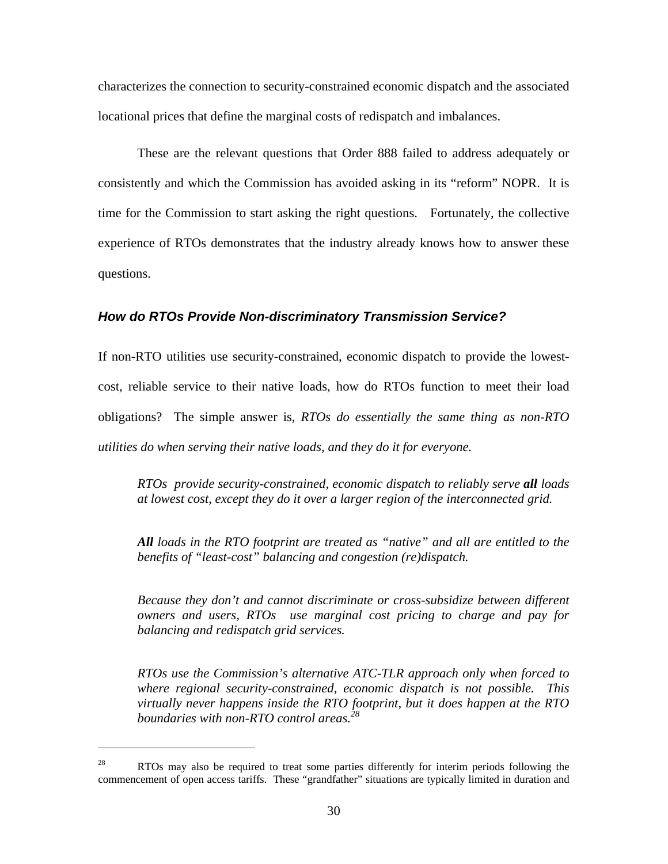characterizes the connection to security-constrained economic dispatch and the associated locational prices that define the marginal costs of redispatch and imbalances.

 These are the relevant questions that Order 888 failed to address adequately or consistently and which the Commission has avoided asking in its "reform" NOPR. It is time for the Commission to start asking the right questions. Fortunately, the collective experience of RTOs demonstrates that the industry already knows how to answer these questions.

#### *How do RTOs Provide Non-discriminatory Transmission Service?*

If non-RTO utilities use security-constrained, economic dispatch to provide the lowestcost, reliable service to their native loads, how do RTOs function to meet their load obligations? The simple answer is, *RTOs do essentially the same thing as non-RTO utilities do when serving their native loads, and they do it for everyone.* 

*RTOs provide security-constrained, economic dispatch to reliably serve all loads at lowest cost, except they do it over a larger region of the interconnected grid.* 

*All loads in the RTO footprint are treated as "native" and all are entitled to the benefits of "least-cost" balancing and congestion (re)dispatch.* 

*Because they don't and cannot discriminate or cross-subsidize between different owners and users, RTOs use marginal cost pricing to charge and pay for balancing and redispatch grid services.* 

*RTOs use the Commission's alternative ATC-TLR approach only when forced to where regional security-constrained, economic dispatch is not possible. This virtually never happens inside the RTO footprint, but it does happen at the RTO boundaries with non-RTO control areas.<sup>28</sup>*

<sup>&</sup>lt;sup>28</sup> RTOs may also be required to treat some parties differently for interim periods following the commencement of open access tariffs. These "grandfather" situations are typically limited in duration and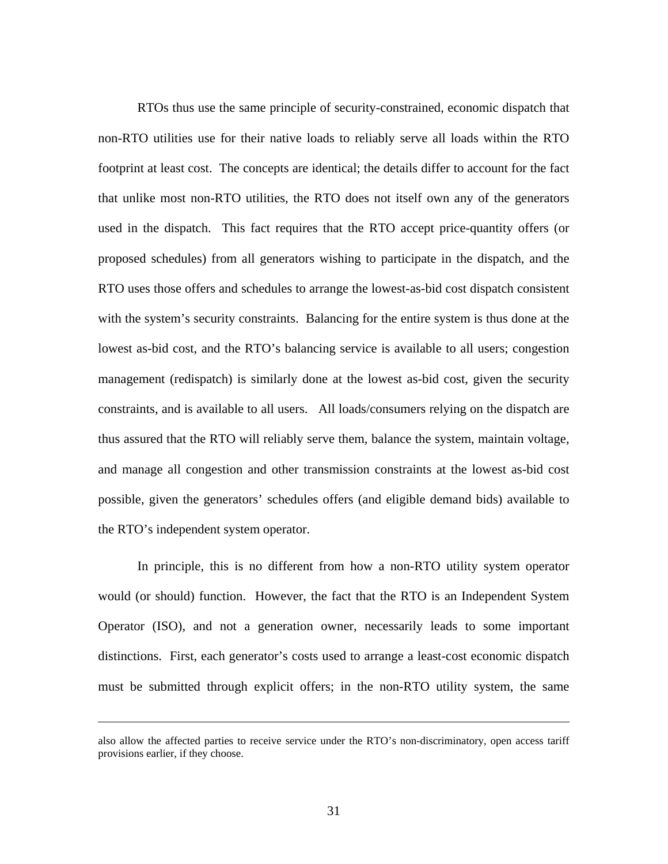RTOs thus use the same principle of security-constrained, economic dispatch that non-RTO utilities use for their native loads to reliably serve all loads within the RTO footprint at least cost. The concepts are identical; the details differ to account for the fact that unlike most non-RTO utilities, the RTO does not itself own any of the generators used in the dispatch. This fact requires that the RTO accept price-quantity offers (or proposed schedules) from all generators wishing to participate in the dispatch, and the RTO uses those offers and schedules to arrange the lowest-as-bid cost dispatch consistent with the system's security constraints. Balancing for the entire system is thus done at the lowest as-bid cost, and the RTO's balancing service is available to all users; congestion management (redispatch) is similarly done at the lowest as-bid cost, given the security constraints, and is available to all users. All loads/consumers relying on the dispatch are thus assured that the RTO will reliably serve them, balance the system, maintain voltage, and manage all congestion and other transmission constraints at the lowest as-bid cost possible, given the generators' schedules offers (and eligible demand bids) available to the RTO's independent system operator.

In principle, this is no different from how a non-RTO utility system operator would (or should) function. However, the fact that the RTO is an Independent System Operator (ISO), and not a generation owner, necessarily leads to some important distinctions. First, each generator's costs used to arrange a least-cost economic dispatch must be submitted through explicit offers; in the non-RTO utility system, the same

also allow the affected parties to receive service under the RTO's non-discriminatory, open access tariff provisions earlier, if they choose.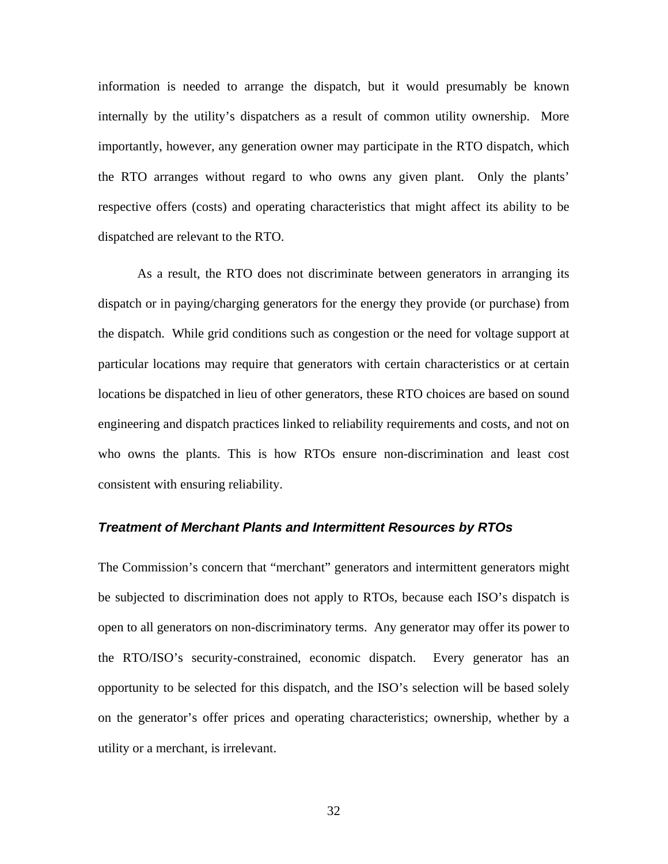information is needed to arrange the dispatch, but it would presumably be known internally by the utility's dispatchers as a result of common utility ownership. More importantly, however, any generation owner may participate in the RTO dispatch, which the RTO arranges without regard to who owns any given plant. Only the plants' respective offers (costs) and operating characteristics that might affect its ability to be dispatched are relevant to the RTO.

As a result, the RTO does not discriminate between generators in arranging its dispatch or in paying/charging generators for the energy they provide (or purchase) from the dispatch. While grid conditions such as congestion or the need for voltage support at particular locations may require that generators with certain characteristics or at certain locations be dispatched in lieu of other generators, these RTO choices are based on sound engineering and dispatch practices linked to reliability requirements and costs, and not on who owns the plants. This is how RTOs ensure non-discrimination and least cost consistent with ensuring reliability.

#### *Treatment of Merchant Plants and Intermittent Resources by RTOs*

The Commission's concern that "merchant" generators and intermittent generators might be subjected to discrimination does not apply to RTOs, because each ISO's dispatch is open to all generators on non-discriminatory terms. Any generator may offer its power to the RTO/ISO's security-constrained, economic dispatch. Every generator has an opportunity to be selected for this dispatch, and the ISO's selection will be based solely on the generator's offer prices and operating characteristics; ownership, whether by a utility or a merchant, is irrelevant.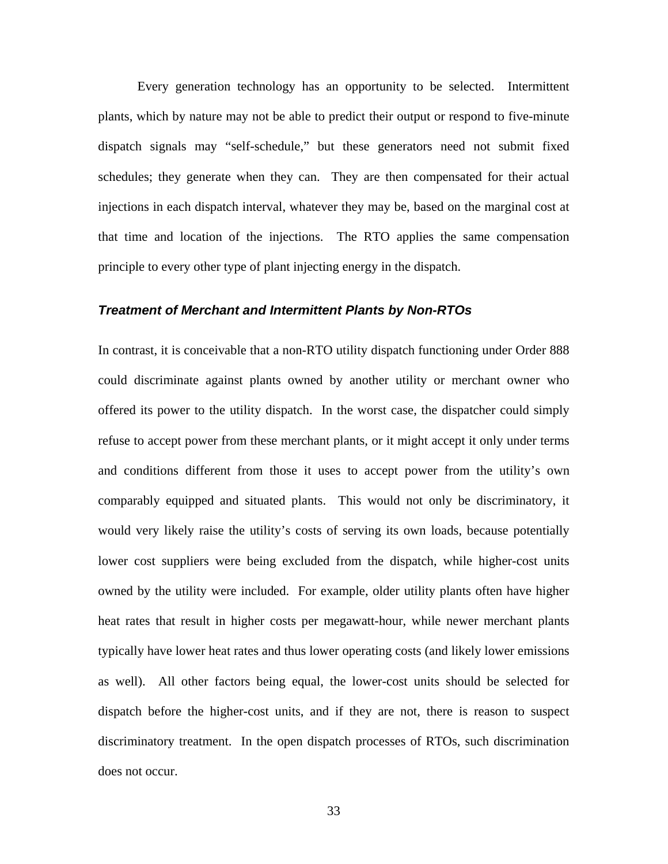Every generation technology has an opportunity to be selected. Intermittent plants, which by nature may not be able to predict their output or respond to five-minute dispatch signals may "self-schedule," but these generators need not submit fixed schedules; they generate when they can. They are then compensated for their actual injections in each dispatch interval, whatever they may be, based on the marginal cost at that time and location of the injections. The RTO applies the same compensation principle to every other type of plant injecting energy in the dispatch.

#### *Treatment of Merchant and Intermittent Plants by Non-RTOs*

In contrast, it is conceivable that a non-RTO utility dispatch functioning under Order 888 could discriminate against plants owned by another utility or merchant owner who offered its power to the utility dispatch. In the worst case, the dispatcher could simply refuse to accept power from these merchant plants, or it might accept it only under terms and conditions different from those it uses to accept power from the utility's own comparably equipped and situated plants. This would not only be discriminatory, it would very likely raise the utility's costs of serving its own loads, because potentially lower cost suppliers were being excluded from the dispatch, while higher-cost units owned by the utility were included. For example, older utility plants often have higher heat rates that result in higher costs per megawatt-hour, while newer merchant plants typically have lower heat rates and thus lower operating costs (and likely lower emissions as well). All other factors being equal, the lower-cost units should be selected for dispatch before the higher-cost units, and if they are not, there is reason to suspect discriminatory treatment. In the open dispatch processes of RTOs, such discrimination does not occur.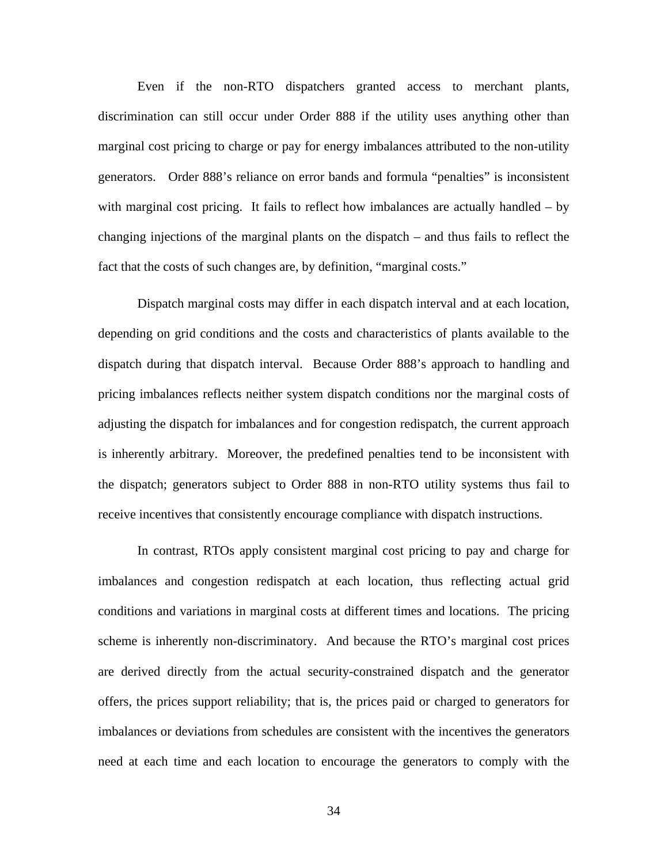Even if the non-RTO dispatchers granted access to merchant plants, discrimination can still occur under Order 888 if the utility uses anything other than marginal cost pricing to charge or pay for energy imbalances attributed to the non-utility generators. Order 888's reliance on error bands and formula "penalties" is inconsistent with marginal cost pricing. It fails to reflect how imbalances are actually handled – by changing injections of the marginal plants on the dispatch – and thus fails to reflect the fact that the costs of such changes are, by definition, "marginal costs."

Dispatch marginal costs may differ in each dispatch interval and at each location, depending on grid conditions and the costs and characteristics of plants available to the dispatch during that dispatch interval. Because Order 888's approach to handling and pricing imbalances reflects neither system dispatch conditions nor the marginal costs of adjusting the dispatch for imbalances and for congestion redispatch, the current approach is inherently arbitrary. Moreover, the predefined penalties tend to be inconsistent with the dispatch; generators subject to Order 888 in non-RTO utility systems thus fail to receive incentives that consistently encourage compliance with dispatch instructions.

In contrast, RTOs apply consistent marginal cost pricing to pay and charge for imbalances and congestion redispatch at each location, thus reflecting actual grid conditions and variations in marginal costs at different times and locations. The pricing scheme is inherently non-discriminatory. And because the RTO's marginal cost prices are derived directly from the actual security-constrained dispatch and the generator offers, the prices support reliability; that is, the prices paid or charged to generators for imbalances or deviations from schedules are consistent with the incentives the generators need at each time and each location to encourage the generators to comply with the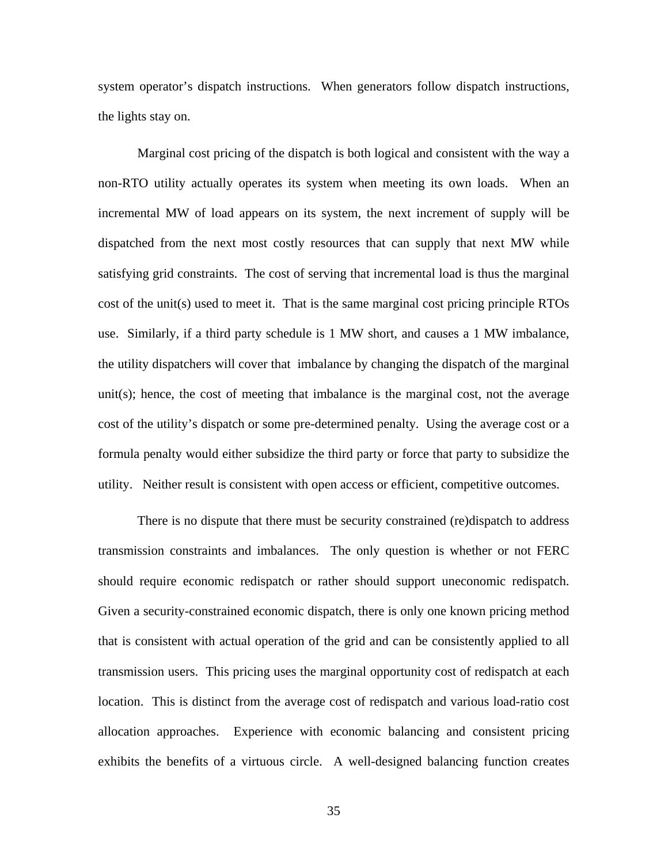system operator's dispatch instructions. When generators follow dispatch instructions, the lights stay on.

Marginal cost pricing of the dispatch is both logical and consistent with the way a non-RTO utility actually operates its system when meeting its own loads. When an incremental MW of load appears on its system, the next increment of supply will be dispatched from the next most costly resources that can supply that next MW while satisfying grid constraints. The cost of serving that incremental load is thus the marginal cost of the unit(s) used to meet it. That is the same marginal cost pricing principle RTOs use. Similarly, if a third party schedule is 1 MW short, and causes a 1 MW imbalance, the utility dispatchers will cover that imbalance by changing the dispatch of the marginal unit(s); hence, the cost of meeting that imbalance is the marginal cost, not the average cost of the utility's dispatch or some pre-determined penalty. Using the average cost or a formula penalty would either subsidize the third party or force that party to subsidize the utility. Neither result is consistent with open access or efficient, competitive outcomes.

There is no dispute that there must be security constrained (re)dispatch to address transmission constraints and imbalances. The only question is whether or not FERC should require economic redispatch or rather should support uneconomic redispatch. Given a security-constrained economic dispatch, there is only one known pricing method that is consistent with actual operation of the grid and can be consistently applied to all transmission users. This pricing uses the marginal opportunity cost of redispatch at each location. This is distinct from the average cost of redispatch and various load-ratio cost allocation approaches. Experience with economic balancing and consistent pricing exhibits the benefits of a virtuous circle. A well-designed balancing function creates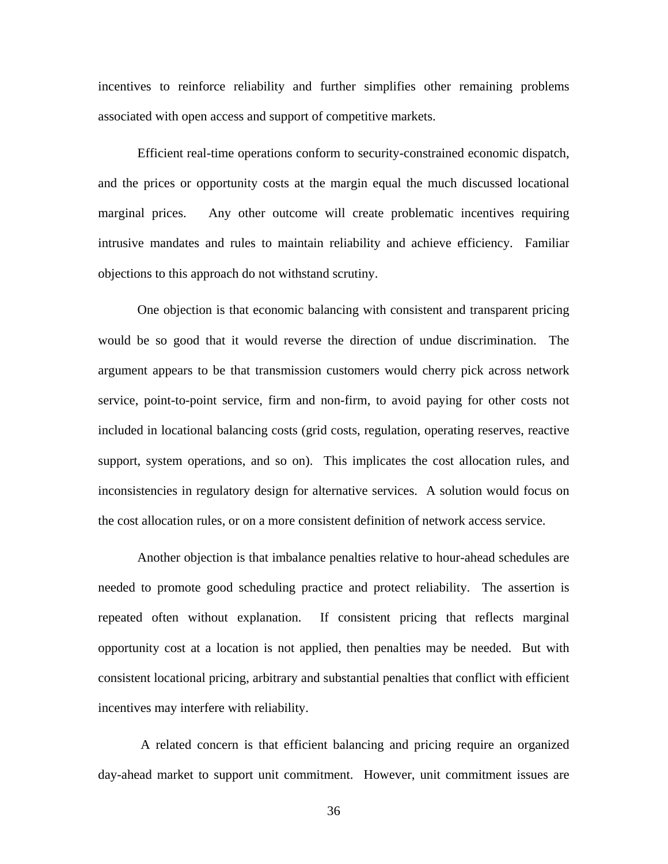incentives to reinforce reliability and further simplifies other remaining problems associated with open access and support of competitive markets.

Efficient real-time operations conform to security-constrained economic dispatch, and the prices or opportunity costs at the margin equal the much discussed locational marginal prices. Any other outcome will create problematic incentives requiring intrusive mandates and rules to maintain reliability and achieve efficiency. Familiar objections to this approach do not withstand scrutiny.

One objection is that economic balancing with consistent and transparent pricing would be so good that it would reverse the direction of undue discrimination. The argument appears to be that transmission customers would cherry pick across network service, point-to-point service, firm and non-firm, to avoid paying for other costs not included in locational balancing costs (grid costs, regulation, operating reserves, reactive support, system operations, and so on). This implicates the cost allocation rules, and inconsistencies in regulatory design for alternative services. A solution would focus on the cost allocation rules, or on a more consistent definition of network access service.

Another objection is that imbalance penalties relative to hour-ahead schedules are needed to promote good scheduling practice and protect reliability. The assertion is repeated often without explanation. If consistent pricing that reflects marginal opportunity cost at a location is not applied, then penalties may be needed. But with consistent locational pricing, arbitrary and substantial penalties that conflict with efficient incentives may interfere with reliability.

 A related concern is that efficient balancing and pricing require an organized day-ahead market to support unit commitment. However, unit commitment issues are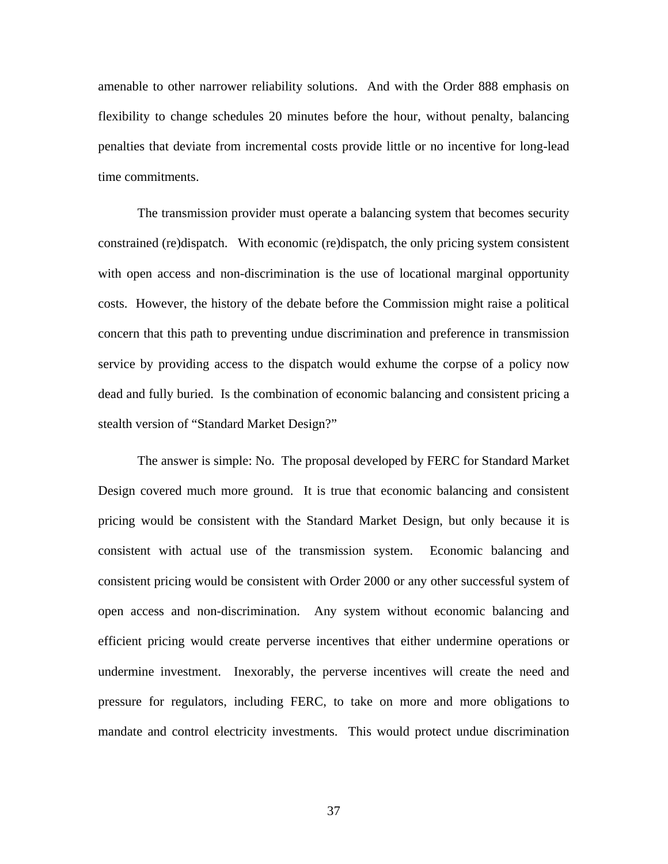amenable to other narrower reliability solutions. And with the Order 888 emphasis on flexibility to change schedules 20 minutes before the hour, without penalty, balancing penalties that deviate from incremental costs provide little or no incentive for long-lead time commitments.

The transmission provider must operate a balancing system that becomes security constrained (re)dispatch. With economic (re)dispatch, the only pricing system consistent with open access and non-discrimination is the use of locational marginal opportunity costs. However, the history of the debate before the Commission might raise a political concern that this path to preventing undue discrimination and preference in transmission service by providing access to the dispatch would exhume the corpse of a policy now dead and fully buried. Is the combination of economic balancing and consistent pricing a stealth version of "Standard Market Design?"

The answer is simple: No. The proposal developed by FERC for Standard Market Design covered much more ground. It is true that economic balancing and consistent pricing would be consistent with the Standard Market Design, but only because it is consistent with actual use of the transmission system. Economic balancing and consistent pricing would be consistent with Order 2000 or any other successful system of open access and non-discrimination. Any system without economic balancing and efficient pricing would create perverse incentives that either undermine operations or undermine investment. Inexorably, the perverse incentives will create the need and pressure for regulators, including FERC, to take on more and more obligations to mandate and control electricity investments. This would protect undue discrimination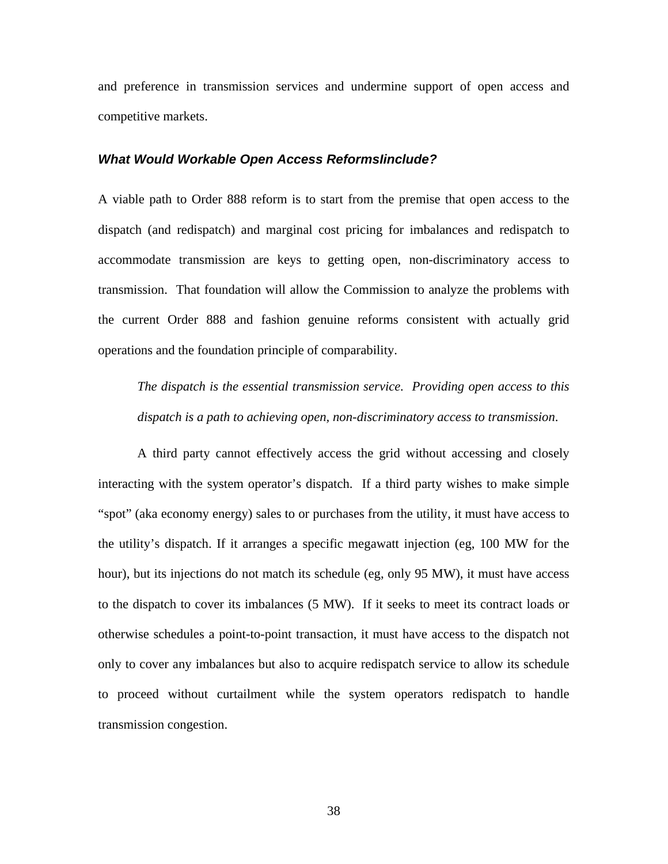and preference in transmission services and undermine support of open access and competitive markets.

#### *What Would Workable Open Access ReformsIinclude?*

A viable path to Order 888 reform is to start from the premise that open access to the dispatch (and redispatch) and marginal cost pricing for imbalances and redispatch to accommodate transmission are keys to getting open, non-discriminatory access to transmission. That foundation will allow the Commission to analyze the problems with the current Order 888 and fashion genuine reforms consistent with actually grid operations and the foundation principle of comparability.

*The dispatch is the essential transmission service. Providing open access to this dispatch is a path to achieving open, non-discriminatory access to transmission*.

A third party cannot effectively access the grid without accessing and closely interacting with the system operator's dispatch. If a third party wishes to make simple "spot" (aka economy energy) sales to or purchases from the utility, it must have access to the utility's dispatch. If it arranges a specific megawatt injection (eg, 100 MW for the hour), but its injections do not match its schedule (eg, only 95 MW), it must have access to the dispatch to cover its imbalances (5 MW). If it seeks to meet its contract loads or otherwise schedules a point-to-point transaction, it must have access to the dispatch not only to cover any imbalances but also to acquire redispatch service to allow its schedule to proceed without curtailment while the system operators redispatch to handle transmission congestion.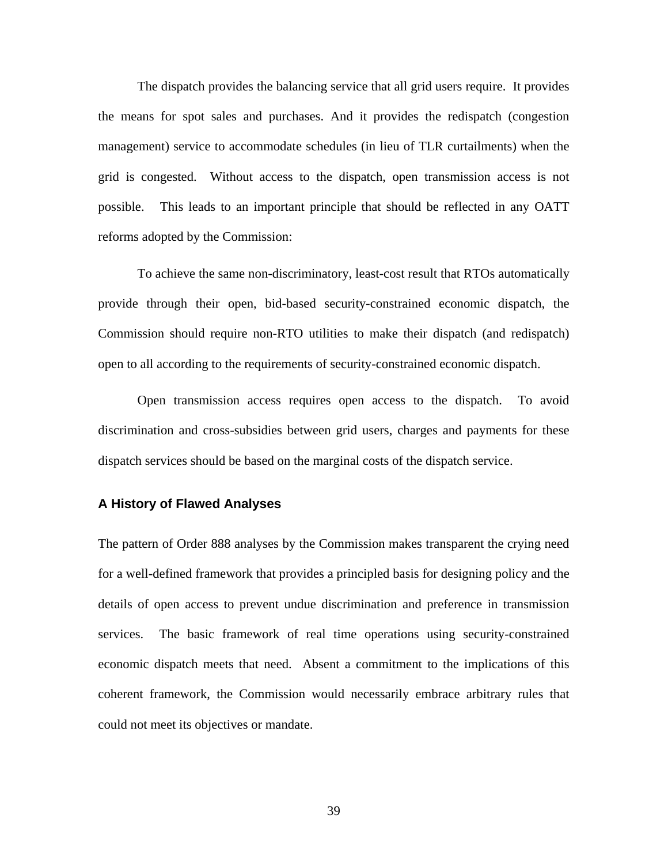The dispatch provides the balancing service that all grid users require. It provides the means for spot sales and purchases. And it provides the redispatch (congestion management) service to accommodate schedules (in lieu of TLR curtailments) when the grid is congested. Without access to the dispatch, open transmission access is not possible. This leads to an important principle that should be reflected in any OATT reforms adopted by the Commission:

To achieve the same non-discriminatory, least-cost result that RTOs automatically provide through their open, bid-based security-constrained economic dispatch, the Commission should require non-RTO utilities to make their dispatch (and redispatch) open to all according to the requirements of security-constrained economic dispatch.

Open transmission access requires open access to the dispatch. To avoid discrimination and cross-subsidies between grid users, charges and payments for these dispatch services should be based on the marginal costs of the dispatch service.

#### **A History of Flawed Analyses**

The pattern of Order 888 analyses by the Commission makes transparent the crying need for a well-defined framework that provides a principled basis for designing policy and the details of open access to prevent undue discrimination and preference in transmission services. The basic framework of real time operations using security-constrained economic dispatch meets that need. Absent a commitment to the implications of this coherent framework, the Commission would necessarily embrace arbitrary rules that could not meet its objectives or mandate.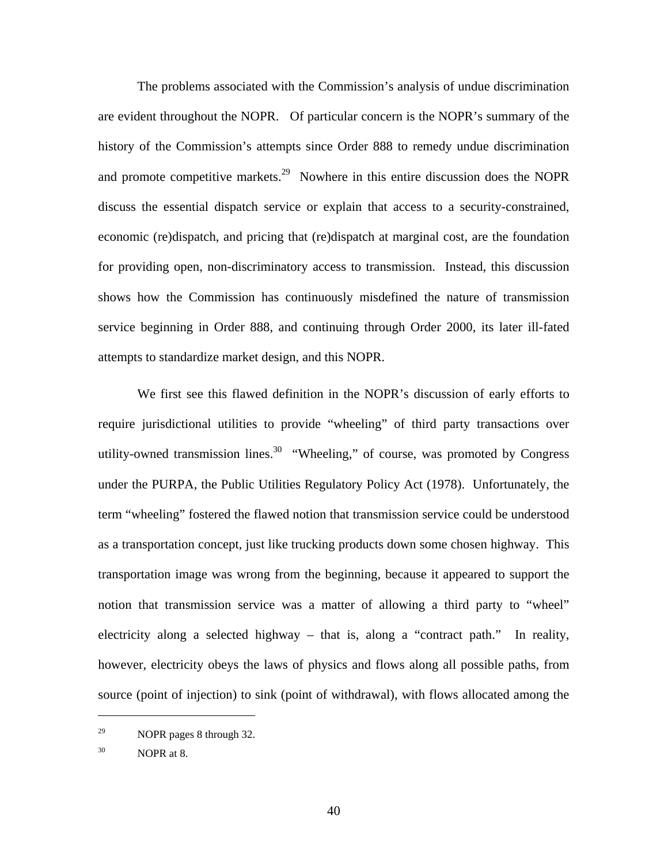The problems associated with the Commission's analysis of undue discrimination are evident throughout the NOPR. Of particular concern is the NOPR's summary of the history of the Commission's attempts since Order 888 to remedy undue discrimination and promote competitive markets.<sup>29</sup> Nowhere in this entire discussion does the NOPR discuss the essential dispatch service or explain that access to a security-constrained, economic (re)dispatch, and pricing that (re)dispatch at marginal cost, are the foundation for providing open, non-discriminatory access to transmission. Instead, this discussion shows how the Commission has continuously misdefined the nature of transmission service beginning in Order 888, and continuing through Order 2000, its later ill-fated attempts to standardize market design, and this NOPR.

We first see this flawed definition in the NOPR's discussion of early efforts to require jurisdictional utilities to provide "wheeling" of third party transactions over utility-owned transmission lines.<sup>30</sup> "Wheeling," of course, was promoted by Congress under the PURPA, the Public Utilities Regulatory Policy Act (1978). Unfortunately, the term "wheeling" fostered the flawed notion that transmission service could be understood as a transportation concept, just like trucking products down some chosen highway. This transportation image was wrong from the beginning, because it appeared to support the notion that transmission service was a matter of allowing a third party to "wheel" electricity along a selected highway – that is, along a "contract path." In reality, however, electricity obeys the laws of physics and flows along all possible paths, from source (point of injection) to sink (point of withdrawal), with flows allocated among the

<sup>29</sup> NOPR pages 8 through 32.

 $30$  NOPR at 8.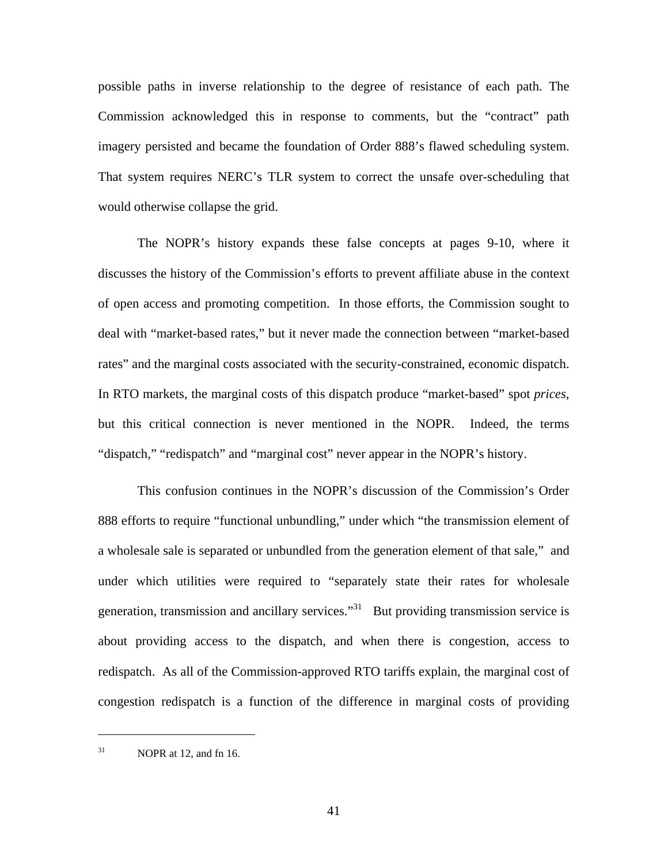possible paths in inverse relationship to the degree of resistance of each path. The Commission acknowledged this in response to comments, but the "contract" path imagery persisted and became the foundation of Order 888's flawed scheduling system. That system requires NERC's TLR system to correct the unsafe over-scheduling that would otherwise collapse the grid.

The NOPR's history expands these false concepts at pages 9-10, where it discusses the history of the Commission's efforts to prevent affiliate abuse in the context of open access and promoting competition. In those efforts, the Commission sought to deal with "market-based rates," but it never made the connection between "market-based rates" and the marginal costs associated with the security-constrained, economic dispatch. In RTO markets, the marginal costs of this dispatch produce "market-based" spot *prices*, but this critical connection is never mentioned in the NOPR. Indeed, the terms "dispatch," "redispatch" and "marginal cost" never appear in the NOPR's history.

This confusion continues in the NOPR's discussion of the Commission's Order 888 efforts to require "functional unbundling," under which "the transmission element of a wholesale sale is separated or unbundled from the generation element of that sale," and under which utilities were required to "separately state their rates for wholesale generation, transmission and ancillary services."<sup>31</sup> But providing transmission service is about providing access to the dispatch, and when there is congestion, access to redispatch. As all of the Commission-approved RTO tariffs explain, the marginal cost of congestion redispatch is a function of the difference in marginal costs of providing

 $31$  NOPR at 12, and fn 16.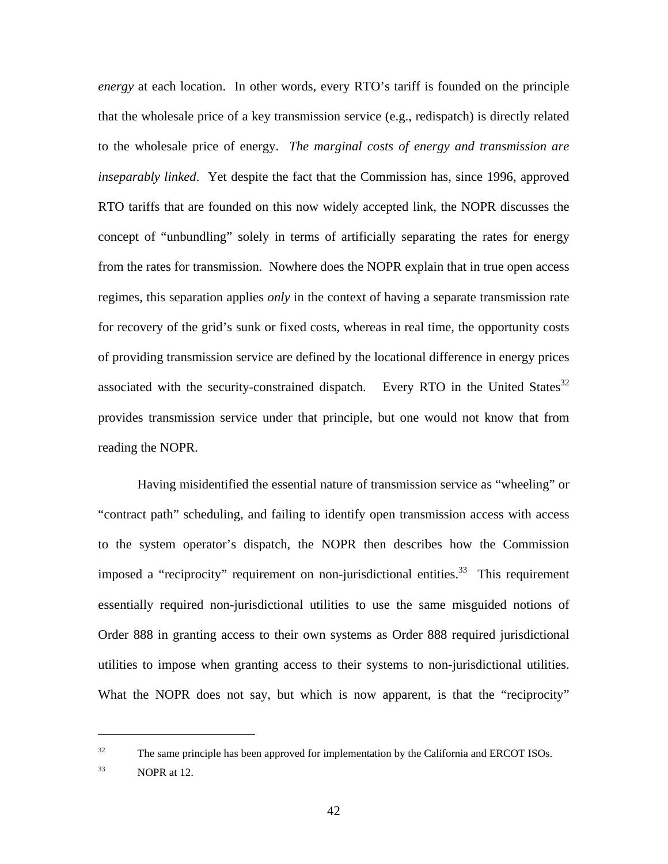*energy* at each location. In other words, every RTO's tariff is founded on the principle that the wholesale price of a key transmission service (e.g., redispatch) is directly related to the wholesale price of energy. *The marginal costs of energy and transmission are inseparably linked*. Yet despite the fact that the Commission has, since 1996, approved RTO tariffs that are founded on this now widely accepted link, the NOPR discusses the concept of "unbundling" solely in terms of artificially separating the rates for energy from the rates for transmission. Nowhere does the NOPR explain that in true open access regimes, this separation applies *only* in the context of having a separate transmission rate for recovery of the grid's sunk or fixed costs, whereas in real time, the opportunity costs of providing transmission service are defined by the locational difference in energy prices associated with the security-constrained dispatch. Every RTO in the United States<sup>32</sup> provides transmission service under that principle, but one would not know that from reading the NOPR.

Having misidentified the essential nature of transmission service as "wheeling" or "contract path" scheduling, and failing to identify open transmission access with access to the system operator's dispatch, the NOPR then describes how the Commission imposed a "reciprocity" requirement on non-jurisdictional entities.<sup>33</sup> This requirement essentially required non-jurisdictional utilities to use the same misguided notions of Order 888 in granting access to their own systems as Order 888 required jurisdictional utilities to impose when granting access to their systems to non-jurisdictional utilities. What the NOPR does not say, but which is now apparent, is that the "reciprocity"

 $32$  The same principle has been approved for implementation by the California and ERCOT ISOs.

 $33$  NOPR at 12.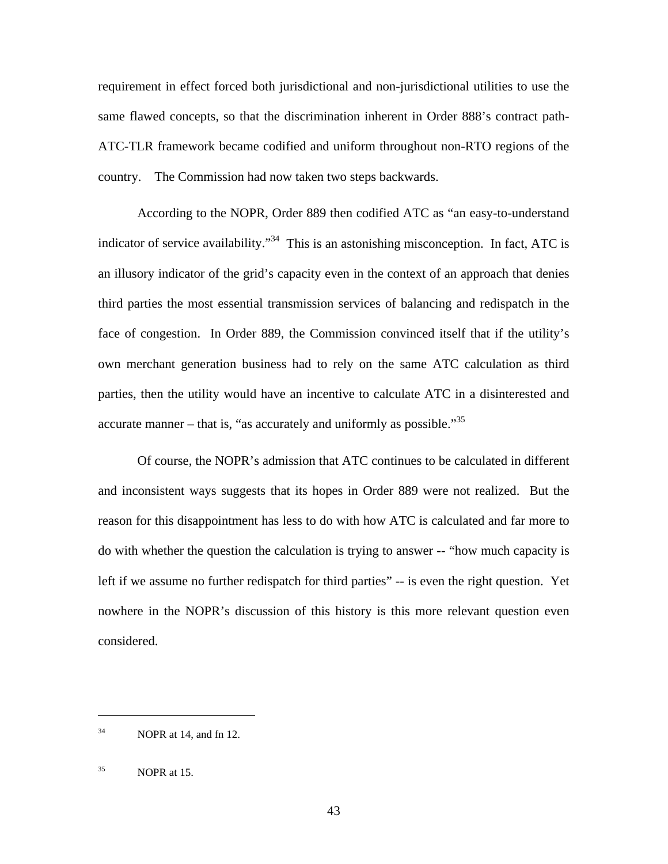requirement in effect forced both jurisdictional and non-jurisdictional utilities to use the same flawed concepts, so that the discrimination inherent in Order 888's contract path-ATC-TLR framework became codified and uniform throughout non-RTO regions of the country. The Commission had now taken two steps backwards.

According to the NOPR, Order 889 then codified ATC as "an easy-to-understand indicator of service availability."<sup>34</sup> This is an astonishing misconception. In fact, ATC is an illusory indicator of the grid's capacity even in the context of an approach that denies third parties the most essential transmission services of balancing and redispatch in the face of congestion. In Order 889, the Commission convinced itself that if the utility's own merchant generation business had to rely on the same ATC calculation as third parties, then the utility would have an incentive to calculate ATC in a disinterested and accurate manner – that is, "as accurately and uniformly as possible." $35$ 

Of course, the NOPR's admission that ATC continues to be calculated in different and inconsistent ways suggests that its hopes in Order 889 were not realized. But the reason for this disappointment has less to do with how ATC is calculated and far more to do with whether the question the calculation is trying to answer -- "how much capacity is left if we assume no further redispatch for third parties" -- is even the right question. Yet nowhere in the NOPR's discussion of this history is this more relevant question even considered.

 $34$  NOPR at 14, and fn 12.

 $35$  NOPR at 15.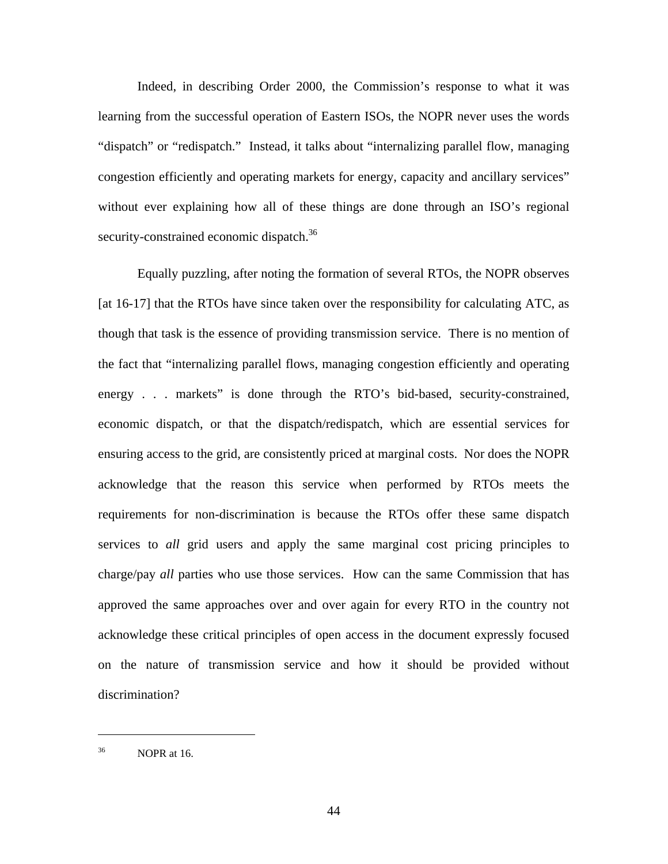Indeed, in describing Order 2000, the Commission's response to what it was learning from the successful operation of Eastern ISOs, the NOPR never uses the words "dispatch" or "redispatch." Instead, it talks about "internalizing parallel flow, managing congestion efficiently and operating markets for energy, capacity and ancillary services" without ever explaining how all of these things are done through an ISO's regional security-constrained economic dispatch.<sup>36</sup>

Equally puzzling, after noting the formation of several RTOs, the NOPR observes [at 16-17] that the RTOs have since taken over the responsibility for calculating ATC, as though that task is the essence of providing transmission service. There is no mention of the fact that "internalizing parallel flows, managing congestion efficiently and operating energy . . . markets" is done through the RTO's bid-based, security-constrained, economic dispatch, or that the dispatch/redispatch, which are essential services for ensuring access to the grid, are consistently priced at marginal costs. Nor does the NOPR acknowledge that the reason this service when performed by RTOs meets the requirements for non-discrimination is because the RTOs offer these same dispatch services to *all* grid users and apply the same marginal cost pricing principles to charge/pay *all* parties who use those services. How can the same Commission that has approved the same approaches over and over again for every RTO in the country not acknowledge these critical principles of open access in the document expressly focused on the nature of transmission service and how it should be provided without discrimination?

36 NOPR at 16.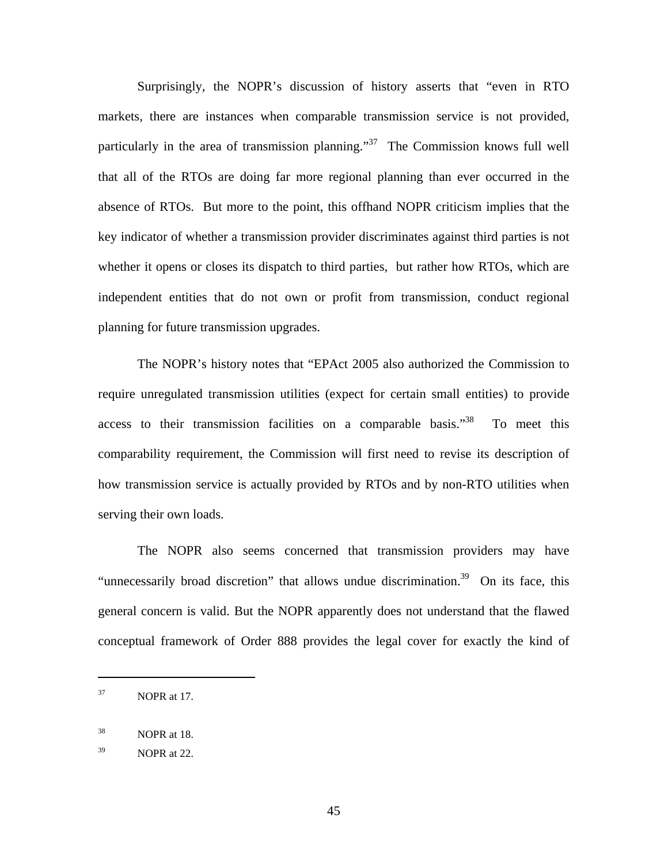Surprisingly, the NOPR's discussion of history asserts that "even in RTO markets, there are instances when comparable transmission service is not provided, particularly in the area of transmission planning."<sup>37</sup> The Commission knows full well that all of the RTOs are doing far more regional planning than ever occurred in the absence of RTOs. But more to the point, this offhand NOPR criticism implies that the key indicator of whether a transmission provider discriminates against third parties is not whether it opens or closes its dispatch to third parties, but rather how RTOs, which are independent entities that do not own or profit from transmission, conduct regional planning for future transmission upgrades.

The NOPR's history notes that "EPAct 2005 also authorized the Commission to require unregulated transmission utilities (expect for certain small entities) to provide access to their transmission facilities on a comparable basis. $138$  To meet this comparability requirement, the Commission will first need to revise its description of how transmission service is actually provided by RTOs and by non-RTO utilities when serving their own loads.

The NOPR also seems concerned that transmission providers may have "unnecessarily broad discretion" that allows undue discrimination.<sup>39</sup> On its face, this general concern is valid. But the NOPR apparently does not understand that the flawed conceptual framework of Order 888 provides the legal cover for exactly the kind of

 $37$  NOPR at 17.

 $38$  NOPR at 18.

 $39$  NOPR at 22.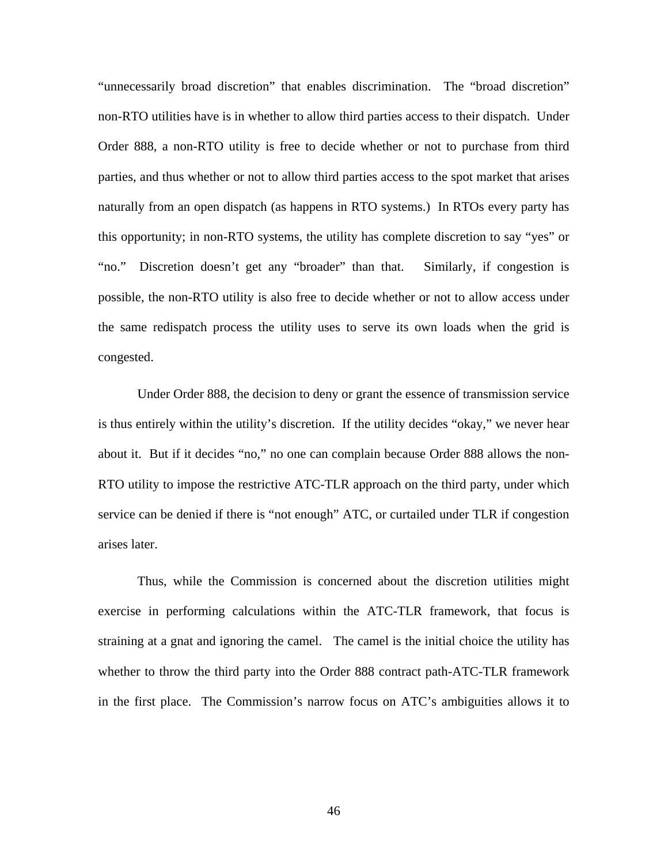"unnecessarily broad discretion" that enables discrimination. The "broad discretion" non-RTO utilities have is in whether to allow third parties access to their dispatch. Under Order 888, a non-RTO utility is free to decide whether or not to purchase from third parties, and thus whether or not to allow third parties access to the spot market that arises naturally from an open dispatch (as happens in RTO systems.) In RTOs every party has this opportunity; in non-RTO systems, the utility has complete discretion to say "yes" or "no." Discretion doesn't get any "broader" than that. Similarly, if congestion is possible, the non-RTO utility is also free to decide whether or not to allow access under the same redispatch process the utility uses to serve its own loads when the grid is congested.

Under Order 888, the decision to deny or grant the essence of transmission service is thus entirely within the utility's discretion. If the utility decides "okay," we never hear about it. But if it decides "no," no one can complain because Order 888 allows the non-RTO utility to impose the restrictive ATC-TLR approach on the third party, under which service can be denied if there is "not enough" ATC, or curtailed under TLR if congestion arises later.

Thus, while the Commission is concerned about the discretion utilities might exercise in performing calculations within the ATC-TLR framework, that focus is straining at a gnat and ignoring the camel. The camel is the initial choice the utility has whether to throw the third party into the Order 888 contract path-ATC-TLR framework in the first place. The Commission's narrow focus on ATC's ambiguities allows it to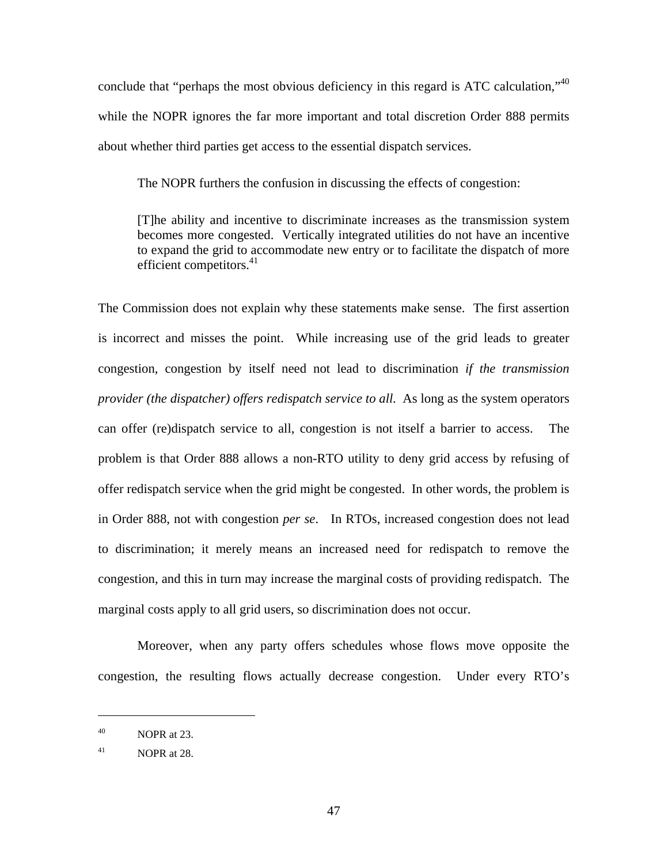conclude that "perhaps the most obvious deficiency in this regard is ATC calculation,"<sup>40</sup> while the NOPR ignores the far more important and total discretion Order 888 permits about whether third parties get access to the essential dispatch services.

The NOPR furthers the confusion in discussing the effects of congestion:

[T]he ability and incentive to discriminate increases as the transmission system becomes more congested. Vertically integrated utilities do not have an incentive to expand the grid to accommodate new entry or to facilitate the dispatch of more efficient competitors. $41$ 

The Commission does not explain why these statements make sense. The first assertion is incorrect and misses the point. While increasing use of the grid leads to greater congestion, congestion by itself need not lead to discrimination *if the transmission provider (the dispatcher) offers redispatch service to all*. As long as the system operators can offer (re)dispatch service to all, congestion is not itself a barrier to access. The problem is that Order 888 allows a non-RTO utility to deny grid access by refusing of offer redispatch service when the grid might be congested. In other words, the problem is in Order 888, not with congestion *per se*. In RTOs, increased congestion does not lead to discrimination; it merely means an increased need for redispatch to remove the congestion, and this in turn may increase the marginal costs of providing redispatch. The marginal costs apply to all grid users, so discrimination does not occur.

Moreover, when any party offers schedules whose flows move opposite the congestion, the resulting flows actually decrease congestion. Under every RTO's

 $^{40}$  NOPR at 23.

 $^{41}$  NOPR at 28.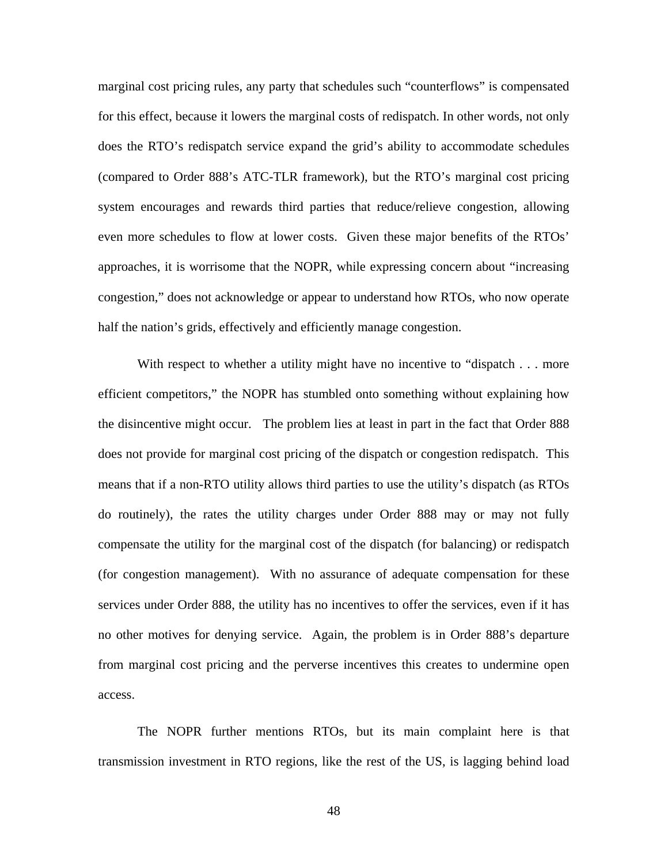marginal cost pricing rules, any party that schedules such "counterflows" is compensated for this effect, because it lowers the marginal costs of redispatch. In other words, not only does the RTO's redispatch service expand the grid's ability to accommodate schedules (compared to Order 888's ATC-TLR framework), but the RTO's marginal cost pricing system encourages and rewards third parties that reduce/relieve congestion, allowing even more schedules to flow at lower costs. Given these major benefits of the RTOs' approaches, it is worrisome that the NOPR, while expressing concern about "increasing congestion," does not acknowledge or appear to understand how RTOs, who now operate half the nation's grids, effectively and efficiently manage congestion.

With respect to whether a utility might have no incentive to "dispatch . . . more efficient competitors," the NOPR has stumbled onto something without explaining how the disincentive might occur. The problem lies at least in part in the fact that Order 888 does not provide for marginal cost pricing of the dispatch or congestion redispatch. This means that if a non-RTO utility allows third parties to use the utility's dispatch (as RTOs do routinely), the rates the utility charges under Order 888 may or may not fully compensate the utility for the marginal cost of the dispatch (for balancing) or redispatch (for congestion management). With no assurance of adequate compensation for these services under Order 888, the utility has no incentives to offer the services, even if it has no other motives for denying service. Again, the problem is in Order 888's departure from marginal cost pricing and the perverse incentives this creates to undermine open access.

The NOPR further mentions RTOs, but its main complaint here is that transmission investment in RTO regions, like the rest of the US, is lagging behind load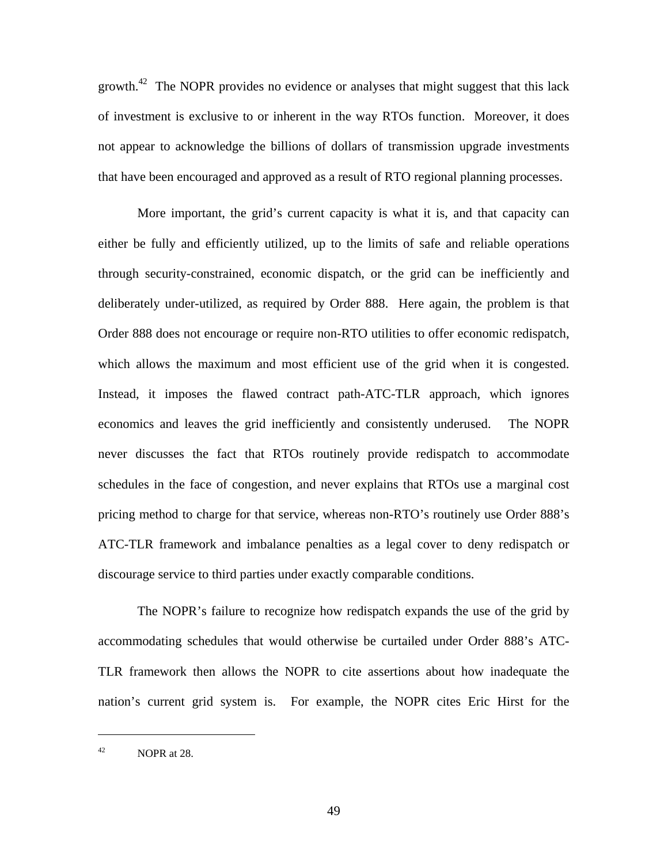growth.<sup>42</sup> The NOPR provides no evidence or analyses that might suggest that this lack of investment is exclusive to or inherent in the way RTOs function. Moreover, it does not appear to acknowledge the billions of dollars of transmission upgrade investments that have been encouraged and approved as a result of RTO regional planning processes.

More important, the grid's current capacity is what it is, and that capacity can either be fully and efficiently utilized, up to the limits of safe and reliable operations through security-constrained, economic dispatch, or the grid can be inefficiently and deliberately under-utilized, as required by Order 888. Here again, the problem is that Order 888 does not encourage or require non-RTO utilities to offer economic redispatch, which allows the maximum and most efficient use of the grid when it is congested. Instead, it imposes the flawed contract path-ATC-TLR approach, which ignores economics and leaves the grid inefficiently and consistently underused. The NOPR never discusses the fact that RTOs routinely provide redispatch to accommodate schedules in the face of congestion, and never explains that RTOs use a marginal cost pricing method to charge for that service, whereas non-RTO's routinely use Order 888's ATC-TLR framework and imbalance penalties as a legal cover to deny redispatch or discourage service to third parties under exactly comparable conditions.

The NOPR's failure to recognize how redispatch expands the use of the grid by accommodating schedules that would otherwise be curtailed under Order 888's ATC-TLR framework then allows the NOPR to cite assertions about how inadequate the nation's current grid system is. For example, the NOPR cites Eric Hirst for the

 $^{42}$  NOPR at 28.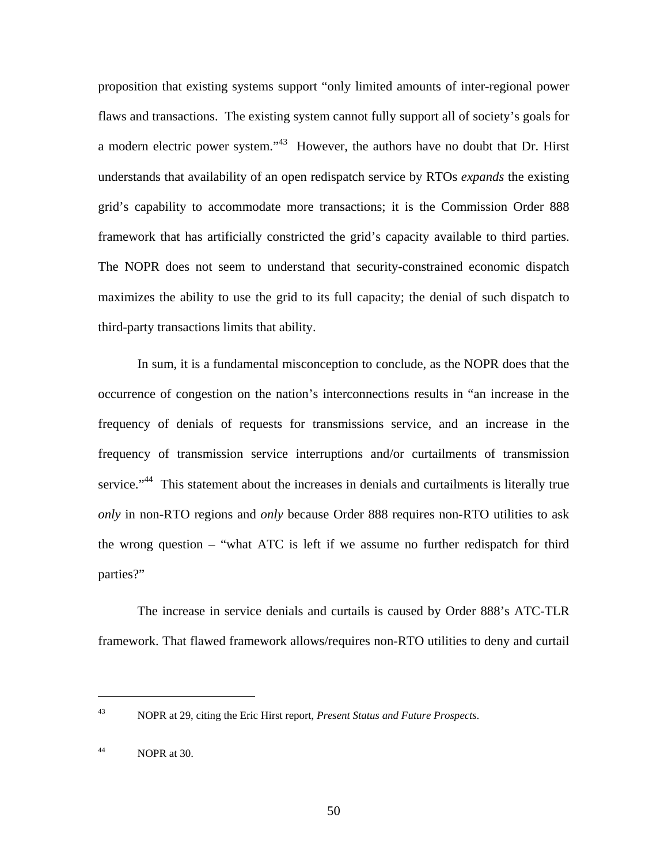proposition that existing systems support "only limited amounts of inter-regional power flaws and transactions. The existing system cannot fully support all of society's goals for a modern electric power system."43 However, the authors have no doubt that Dr. Hirst understands that availability of an open redispatch service by RTOs *expands* the existing grid's capability to accommodate more transactions; it is the Commission Order 888 framework that has artificially constricted the grid's capacity available to third parties. The NOPR does not seem to understand that security-constrained economic dispatch maximizes the ability to use the grid to its full capacity; the denial of such dispatch to third-party transactions limits that ability.

In sum, it is a fundamental misconception to conclude, as the NOPR does that the occurrence of congestion on the nation's interconnections results in "an increase in the frequency of denials of requests for transmissions service, and an increase in the frequency of transmission service interruptions and/or curtailments of transmission service."<sup>44</sup> This statement about the increases in denials and curtailments is literally true *only* in non-RTO regions and *only* because Order 888 requires non-RTO utilities to ask the wrong question – "what ATC is left if we assume no further redispatch for third parties?"

The increase in service denials and curtails is caused by Order 888's ATC-TLR framework. That flawed framework allows/requires non-RTO utilities to deny and curtail

<u>.</u>

<sup>43</sup> NOPR at 29, citing the Eric Hirst report, *Present Status and Future Prospects*.

 $^{44}$  NOPR at 30.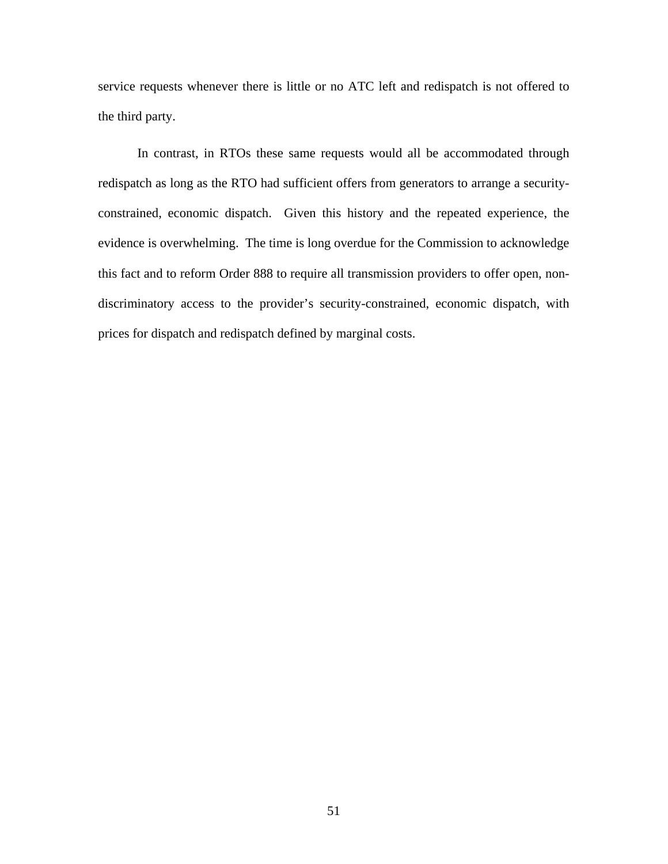service requests whenever there is little or no ATC left and redispatch is not offered to the third party.

In contrast, in RTOs these same requests would all be accommodated through redispatch as long as the RTO had sufficient offers from generators to arrange a securityconstrained, economic dispatch. Given this history and the repeated experience, the evidence is overwhelming. The time is long overdue for the Commission to acknowledge this fact and to reform Order 888 to require all transmission providers to offer open, nondiscriminatory access to the provider's security-constrained, economic dispatch, with prices for dispatch and redispatch defined by marginal costs.